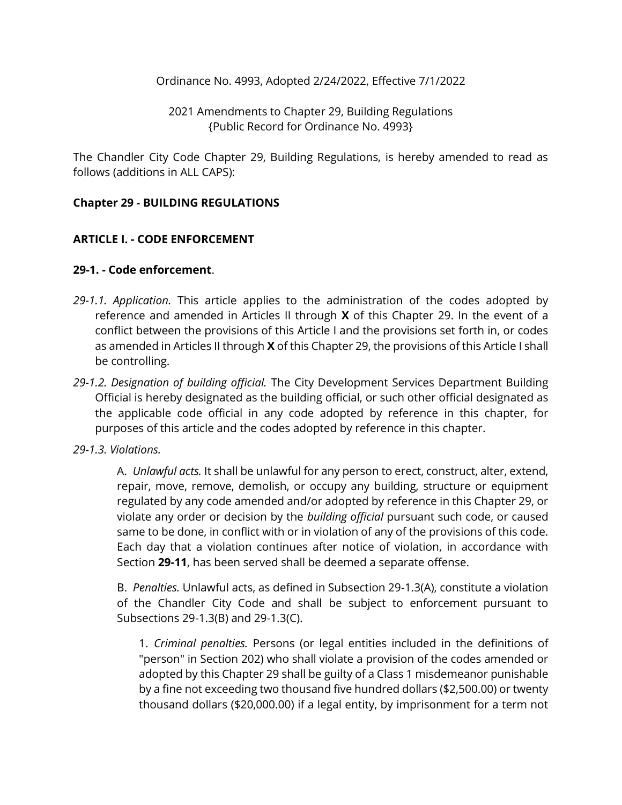Ordinance No. 4993, Adopted 2/24/2022, Effective 7/1/2022

2021 Amendments to Chapter 29, Building Regulations {Public Record for Ordinance No. 4993}

The Chandler City Code Chapter 29, Building Regulations, is hereby amended to read as follows (additions in ALL CAPS):

#### **Chapter 29 - BUILDING REGULATIONS**

#### **ARTICLE I. - CODE ENFORCEMENT**

#### **29-1. - Code enforcement**.

- *29-1.1. Application.* This article applies to the administration of the codes adopted by reference and amended in Articles II through **X** of this Chapter 29. In the event of a conflict between the provisions of this Article I and the provisions set forth in, or codes as amended in Articles II through **X** of this Chapter 29, the provisions of this Article I shall be controlling.
- *29-1.2. Designation of building official.* The City Development Services Department Building Official is hereby designated as the building official, or such other official designated as the applicable code official in any code adopted by reference in this chapter, for purposes of this article and the codes adopted by reference in this chapter.

#### *29-1.3. Violations.*

A. *Unlawful acts.* It shall be unlawful for any person to erect, construct, alter, extend, repair, move, remove, demolish, or occupy any building, structure or equipment regulated by any code amended and/or adopted by reference in this Chapter 29, or violate any order or decision by the *building official* pursuant such code, or caused same to be done, in conflict with or in violation of any of the provisions of this code. Each day that a violation continues after notice of violation, in accordance with Section **29-11**, has been served shall be deemed a separate offense.

B. *Penalties.* Unlawful acts, as defined in Subsection 29-1.3(A), constitute a violation of the Chandler City Code and shall be subject to enforcement pursuant to Subsections 29-1.3(B) and 29-1.3(C).

1. *Criminal penalties.* Persons (or legal entities included in the definitions of "person" in Section 202) who shall violate a provision of the codes amended or adopted by this Chapter 29 shall be guilty of a Class 1 misdemeanor punishable by a fine not exceeding two thousand five hundred dollars (\$2,500.00) or twenty thousand dollars (\$20,000.00) if a legal entity, by imprisonment for a term not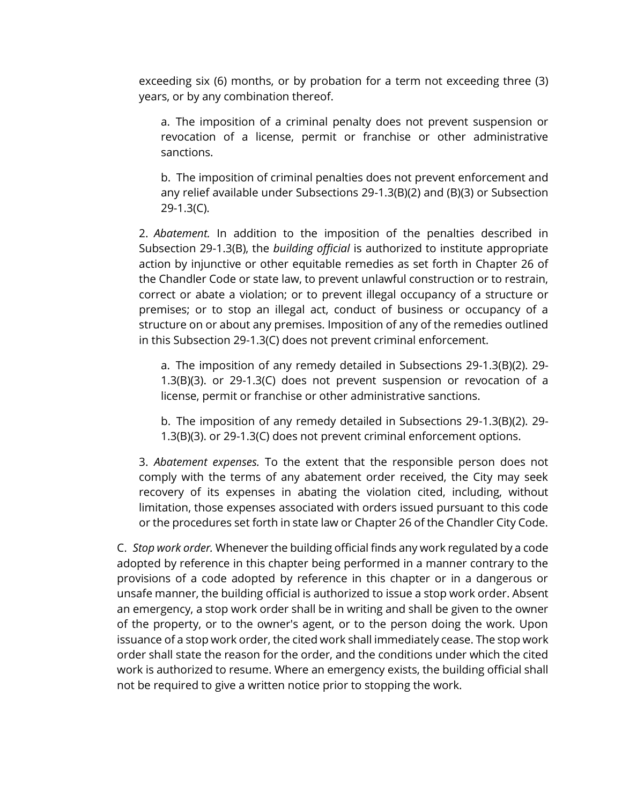exceeding six (6) months, or by probation for a term not exceeding three (3) years, or by any combination thereof.

a. The imposition of a criminal penalty does not prevent suspension or revocation of a license, permit or franchise or other administrative sanctions.

b. The imposition of criminal penalties does not prevent enforcement and any relief available under Subsections 29-1.3(B)(2) and (B)(3) or Subsection 29-1.3(C).

2. *Abatement.* In addition to the imposition of the penalties described in Subsection 29-1.3(B), the *building official* is authorized to institute appropriate action by injunctive or other equitable remedies as set forth in Chapter 26 of the Chandler Code or state law, to prevent unlawful construction or to restrain, correct or abate a violation; or to prevent illegal occupancy of a structure or premises; or to stop an illegal act, conduct of business or occupancy of a structure on or about any premises. Imposition of any of the remedies outlined in this Subsection 29-1.3(C) does not prevent criminal enforcement.

a. The imposition of any remedy detailed in Subsections 29-1.3(B)(2). 29- 1.3(B)(3). or 29-1.3(C) does not prevent suspension or revocation of a license, permit or franchise or other administrative sanctions.

b. The imposition of any remedy detailed in Subsections 29-1.3(B)(2). 29- 1.3(B)(3). or 29-1.3(C) does not prevent criminal enforcement options.

3. *Abatement expenses.* To the extent that the responsible person does not comply with the terms of any abatement order received, the City may seek recovery of its expenses in abating the violation cited, including, without limitation, those expenses associated with orders issued pursuant to this code or the procedures set forth in state law or Chapter 26 of the Chandler City Code.

C. *Stop work order.* Whenever the building official finds any work regulated by a code adopted by reference in this chapter being performed in a manner contrary to the provisions of a code adopted by reference in this chapter or in a dangerous or unsafe manner, the building official is authorized to issue a stop work order. Absent an emergency, a stop work order shall be in writing and shall be given to the owner of the property, or to the owner's agent, or to the person doing the work. Upon issuance of a stop work order, the cited work shall immediately cease. The stop work order shall state the reason for the order, and the conditions under which the cited work is authorized to resume. Where an emergency exists, the building official shall not be required to give a written notice prior to stopping the work.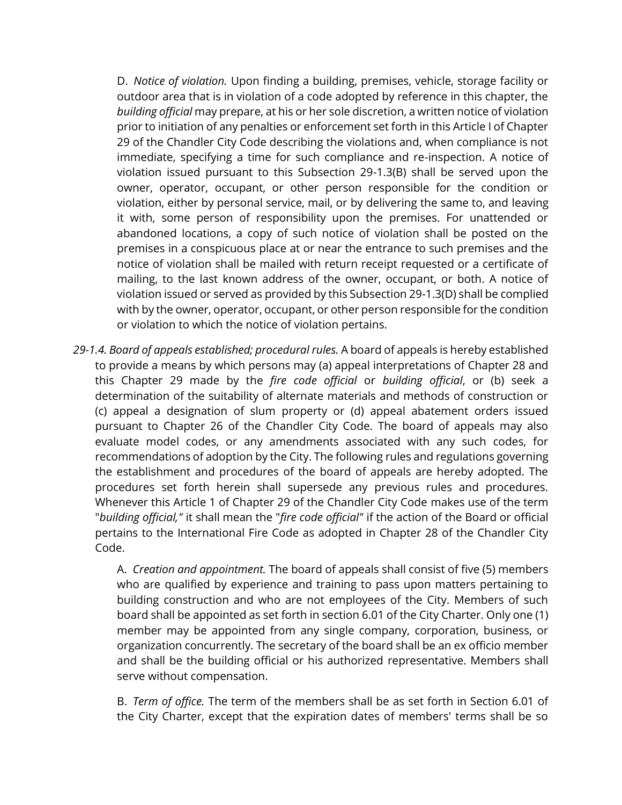D. *Notice of violation.* Upon finding a building, premises, vehicle, storage facility or outdoor area that is in violation of a code adopted by reference in this chapter, the *building official* may prepare, at his or her sole discretion, a written notice of violation prior to initiation of any penalties or enforcement set forth in this Article I of Chapter 29 of the Chandler City Code describing the violations and, when compliance is not immediate, specifying a time for such compliance and re-inspection. A notice of violation issued pursuant to this Subsection 29-1.3(B) shall be served upon the owner, operator, occupant, or other person responsible for the condition or violation, either by personal service, mail, or by delivering the same to, and leaving it with, some person of responsibility upon the premises. For unattended or abandoned locations, a copy of such notice of violation shall be posted on the premises in a conspicuous place at or near the entrance to such premises and the notice of violation shall be mailed with return receipt requested or a certificate of mailing, to the last known address of the owner, occupant, or both. A notice of violation issued or served as provided by this Subsection 29-1.3(D) shall be complied with by the owner, operator, occupant, or other person responsible for the condition or violation to which the notice of violation pertains.

*29-1.4. Board of appeals established; procedural rules.* A board of appeals is hereby established to provide a means by which persons may (a) appeal interpretations of Chapter 28 and this Chapter 29 made by the *fire code official* or *building official*, or (b) seek a determination of the suitability of alternate materials and methods of construction or (c) appeal a designation of slum property or (d) appeal abatement orders issued pursuant to Chapter 26 of the Chandler City Code. The board of appeals may also evaluate model codes, or any amendments associated with any such codes, for recommendations of adoption by the City. The following rules and regulations governing the establishment and procedures of the board of appeals are hereby adopted. The procedures set forth herein shall supersede any previous rules and procedures. Whenever this Article 1 of Chapter 29 of the Chandler City Code makes use of the term "*building official,"* it shall mean the "*fire code official"* if the action of the Board or official pertains to the International Fire Code as adopted in Chapter 28 of the Chandler City Code.

A. *Creation and appointment.* The board of appeals shall consist of five (5) members who are qualified by experience and training to pass upon matters pertaining to building construction and who are not employees of the City. Members of such board shall be appointed as set forth in section 6.01 of the City Charter. Only one (1) member may be appointed from any single company, corporation, business, or organization concurrently. The secretary of the board shall be an ex officio member and shall be the building official or his authorized representative. Members shall serve without compensation.

B. *Term of office.* The term of the members shall be as set forth in Section 6.01 of the City Charter, except that the expiration dates of members' terms shall be so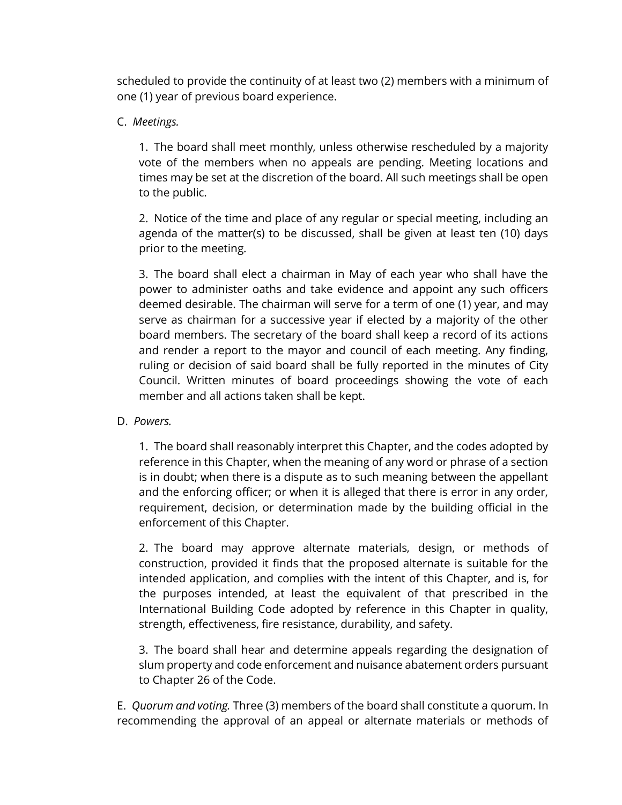scheduled to provide the continuity of at least two (2) members with a minimum of one (1) year of previous board experience.

## C. *Meetings.*

1. The board shall meet monthly, unless otherwise rescheduled by a majority vote of the members when no appeals are pending. Meeting locations and times may be set at the discretion of the board. All such meetings shall be open to the public.

2. Notice of the time and place of any regular or special meeting, including an agenda of the matter(s) to be discussed, shall be given at least ten (10) days prior to the meeting.

3. The board shall elect a chairman in May of each year who shall have the power to administer oaths and take evidence and appoint any such officers deemed desirable. The chairman will serve for a term of one (1) year, and may serve as chairman for a successive year if elected by a majority of the other board members. The secretary of the board shall keep a record of its actions and render a report to the mayor and council of each meeting. Any finding, ruling or decision of said board shall be fully reported in the minutes of City Council. Written minutes of board proceedings showing the vote of each member and all actions taken shall be kept.

#### D. *Powers.*

1. The board shall reasonably interpret this Chapter, and the codes adopted by reference in this Chapter, when the meaning of any word or phrase of a section is in doubt; when there is a dispute as to such meaning between the appellant and the enforcing officer; or when it is alleged that there is error in any order, requirement, decision, or determination made by the building official in the enforcement of this Chapter.

2. The board may approve alternate materials, design, or methods of construction, provided it finds that the proposed alternate is suitable for the intended application, and complies with the intent of this Chapter, and is, for the purposes intended, at least the equivalent of that prescribed in the International Building Code adopted by reference in this Chapter in quality, strength, effectiveness, fire resistance, durability, and safety.

3. The board shall hear and determine appeals regarding the designation of slum property and code enforcement and nuisance abatement orders pursuant to Chapter 26 of the Code.

E. *Quorum and voting.* Three (3) members of the board shall constitute a quorum. In recommending the approval of an appeal or alternate materials or methods of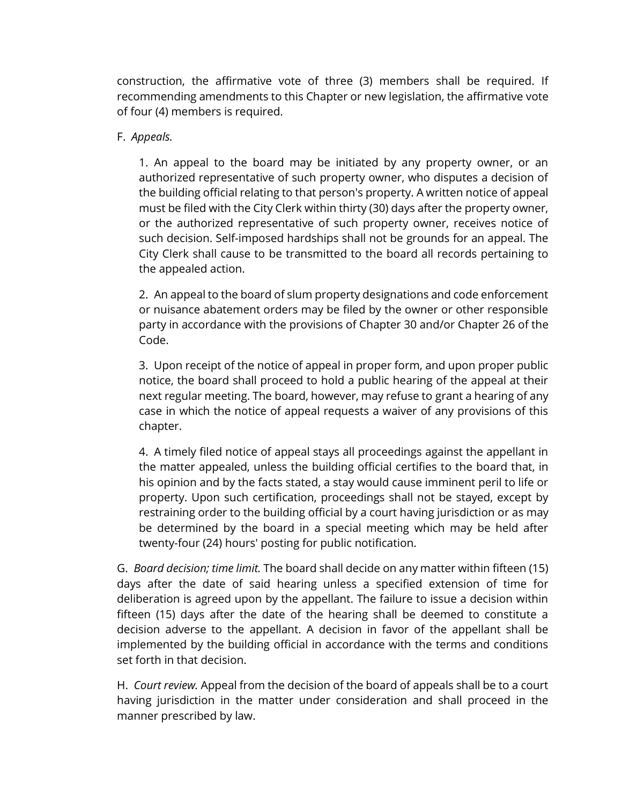construction, the affirmative vote of three (3) members shall be required. If recommending amendments to this Chapter or new legislation, the affirmative vote of four (4) members is required.

#### F. *Appeals.*

1. An appeal to the board may be initiated by any property owner, or an authorized representative of such property owner, who disputes a decision of the building official relating to that person's property. A written notice of appeal must be filed with the City Clerk within thirty (30) days after the property owner, or the authorized representative of such property owner, receives notice of such decision. Self-imposed hardships shall not be grounds for an appeal. The City Clerk shall cause to be transmitted to the board all records pertaining to the appealed action.

2. An appeal to the board of slum property designations and code enforcement or nuisance abatement orders may be filed by the owner or other responsible party in accordance with the provisions of Chapter 30 and/or Chapter 26 of the Code.

3. Upon receipt of the notice of appeal in proper form, and upon proper public notice, the board shall proceed to hold a public hearing of the appeal at their next regular meeting. The board, however, may refuse to grant a hearing of any case in which the notice of appeal requests a waiver of any provisions of this chapter.

4. A timely filed notice of appeal stays all proceedings against the appellant in the matter appealed, unless the building official certifies to the board that, in his opinion and by the facts stated, a stay would cause imminent peril to life or property. Upon such certification, proceedings shall not be stayed, except by restraining order to the building official by a court having jurisdiction or as may be determined by the board in a special meeting which may be held after twenty-four (24) hours' posting for public notification.

G. *Board decision; time limit.* The board shall decide on any matter within fifteen (15) days after the date of said hearing unless a specified extension of time for deliberation is agreed upon by the appellant. The failure to issue a decision within fifteen (15) days after the date of the hearing shall be deemed to constitute a decision adverse to the appellant. A decision in favor of the appellant shall be implemented by the building official in accordance with the terms and conditions set forth in that decision.

H. *Court review.* Appeal from the decision of the board of appeals shall be to a court having jurisdiction in the matter under consideration and shall proceed in the manner prescribed by law.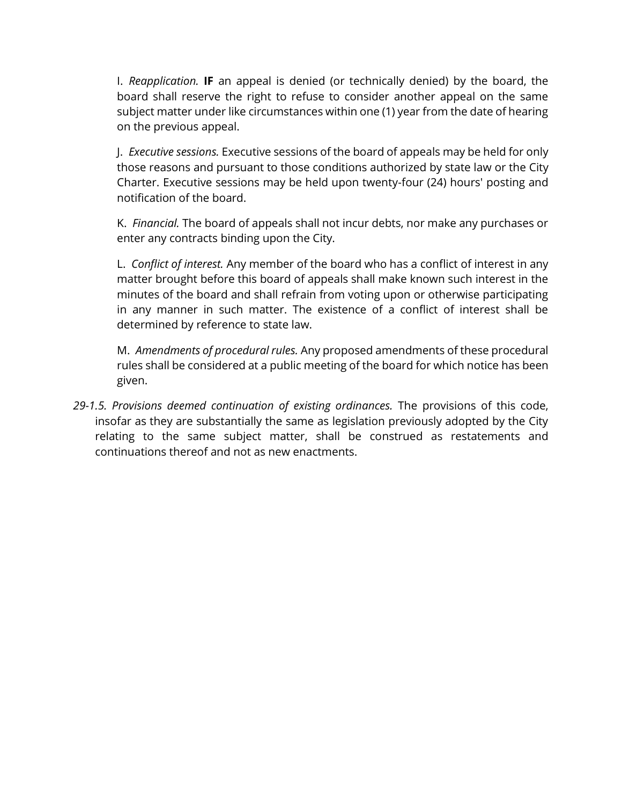I. *Reapplication.* **IF** an appeal is denied (or technically denied) by the board, the board shall reserve the right to refuse to consider another appeal on the same subject matter under like circumstances within one (1) year from the date of hearing on the previous appeal.

J. *Executive sessions.* Executive sessions of the board of appeals may be held for only those reasons and pursuant to those conditions authorized by state law or the City Charter. Executive sessions may be held upon twenty-four (24) hours' posting and notification of the board.

K. *Financial.* The board of appeals shall not incur debts, nor make any purchases or enter any contracts binding upon the City.

L. *Conflict of interest.* Any member of the board who has a conflict of interest in any matter brought before this board of appeals shall make known such interest in the minutes of the board and shall refrain from voting upon or otherwise participating in any manner in such matter. The existence of a conflict of interest shall be determined by reference to state law.

M. *Amendments of procedural rules.* Any proposed amendments of these procedural rules shall be considered at a public meeting of the board for which notice has been given.

*29-1.5. Provisions deemed continuation of existing ordinances.* The provisions of this code, insofar as they are substantially the same as legislation previously adopted by the City relating to the same subject matter, shall be construed as restatements and continuations thereof and not as new enactments.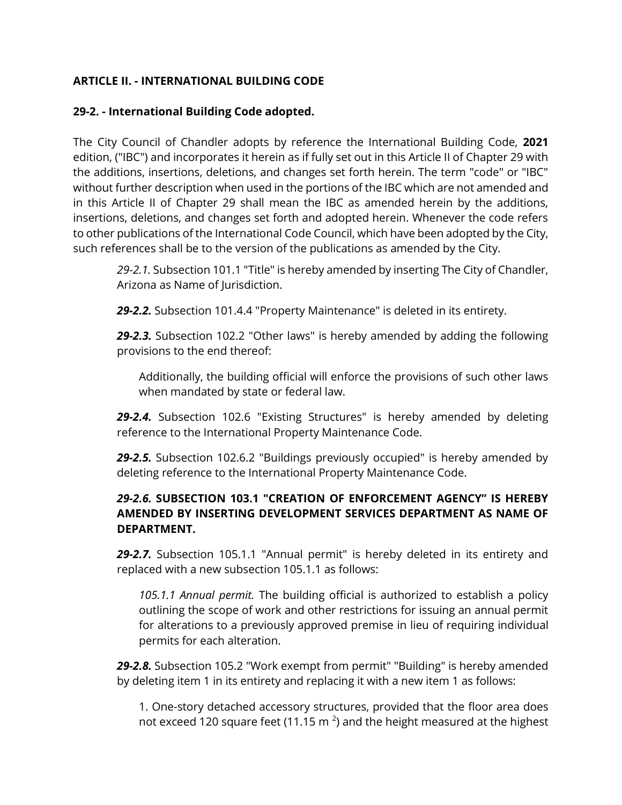## **ARTICLE II. - INTERNATIONAL BUILDING CODE**

#### **29-2. - International Building Code adopted.**

The City Council of Chandler adopts by reference the International Building Code, **2021**  edition, ("IBC") and incorporates it herein as if fully set out in this Article II of Chapter 29 with the additions, insertions, deletions, and changes set forth herein. The term "code" or "IBC" without further description when used in the portions of the IBC which are not amended and in this Article II of Chapter 29 shall mean the IBC as amended herein by the additions, insertions, deletions, and changes set forth and adopted herein. Whenever the code refers to other publications of the International Code Council, which have been adopted by the City, such references shall be to the version of the publications as amended by the City.

*29-2.1.* Subsection 101.1 "Title" is hereby amended by inserting The City of Chandler, Arizona as Name of Jurisdiction.

*29-2.2.* Subsection 101.4.4 "Property Maintenance" is deleted in its entirety.

*29-2.3.* Subsection 102.2 "Other laws" is hereby amended by adding the following provisions to the end thereof:

Additionally, the building official will enforce the provisions of such other laws when mandated by state or federal law.

*29-2.4.* Subsection 102.6 "Existing Structures" is hereby amended by deleting reference to the International Property Maintenance Code.

*29-2.5.* Subsection 102.6.2 "Buildings previously occupied" is hereby amended by deleting reference to the International Property Maintenance Code.

### *29-2.6.* **SUBSECTION 103.1 "CREATION OF ENFORCEMENT AGENCY" IS HEREBY AMENDED BY INSERTING DEVELOPMENT SERVICES DEPARTMENT AS NAME OF DEPARTMENT.**

*29-2.7.* Subsection 105.1.1 "Annual permit" is hereby deleted in its entirety and replaced with a new subsection 105.1.1 as follows:

*105.1.1 Annual permit.* The building official is authorized to establish a policy outlining the scope of work and other restrictions for issuing an annual permit for alterations to a previously approved premise in lieu of requiring individual permits for each alteration.

*29-2.8.* Subsection 105.2 "Work exempt from permit" "Building" is hereby amended by deleting item 1 in its entirety and replacing it with a new item 1 as follows:

1. One-story detached accessory structures, provided that the floor area does not exceed 120 square feet (11.15 m<sup>2</sup>) and the height measured at the highest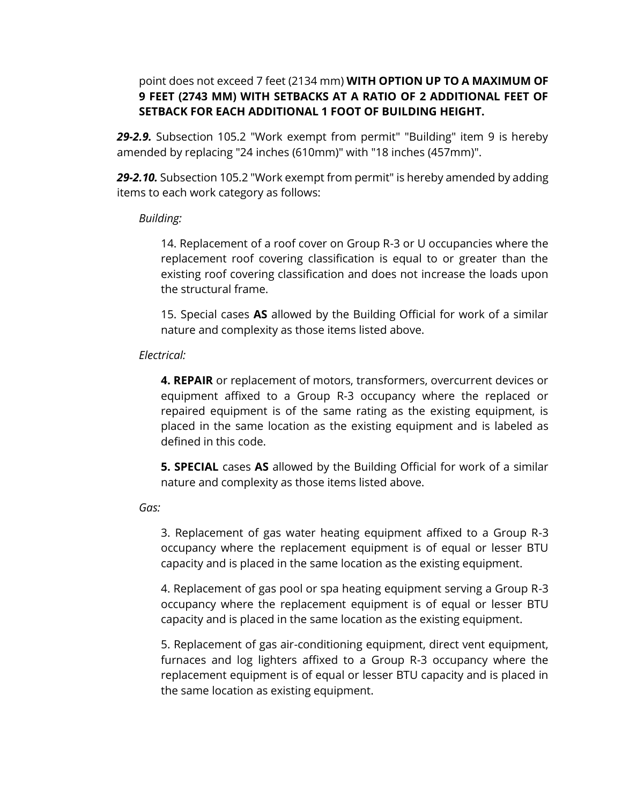### point does not exceed 7 feet (2134 mm) **WITH OPTION UP TO A MAXIMUM OF 9 FEET (2743 MM) WITH SETBACKS AT A RATIO OF 2 ADDITIONAL FEET OF SETBACK FOR EACH ADDITIONAL 1 FOOT OF BUILDING HEIGHT.**

*29-2.9.* Subsection 105.2 "Work exempt from permit" "Building" item 9 is hereby amended by replacing "24 inches (610mm)" with "18 inches (457mm)".

*29-2.10.* Subsection 105.2 "Work exempt from permit" is hereby amended by adding items to each work category as follows:

#### *Building:*

14. Replacement of a roof cover on Group R-3 or U occupancies where the replacement roof covering classification is equal to or greater than the existing roof covering classification and does not increase the loads upon the structural frame.

15. Special cases **AS** allowed by the Building Official for work of a similar nature and complexity as those items listed above.

#### *Electrical:*

**4. REPAIR** or replacement of motors, transformers, overcurrent devices or equipment affixed to a Group R-3 occupancy where the replaced or repaired equipment is of the same rating as the existing equipment, is placed in the same location as the existing equipment and is labeled as defined in this code.

**5. SPECIAL** cases **AS** allowed by the Building Official for work of a similar nature and complexity as those items listed above.

*Gas:*

3. Replacement of gas water heating equipment affixed to a Group R-3 occupancy where the replacement equipment is of equal or lesser BTU capacity and is placed in the same location as the existing equipment.

4. Replacement of gas pool or spa heating equipment serving a Group R-3 occupancy where the replacement equipment is of equal or lesser BTU capacity and is placed in the same location as the existing equipment.

5. Replacement of gas air-conditioning equipment, direct vent equipment, furnaces and log lighters affixed to a Group R-3 occupancy where the replacement equipment is of equal or lesser BTU capacity and is placed in the same location as existing equipment.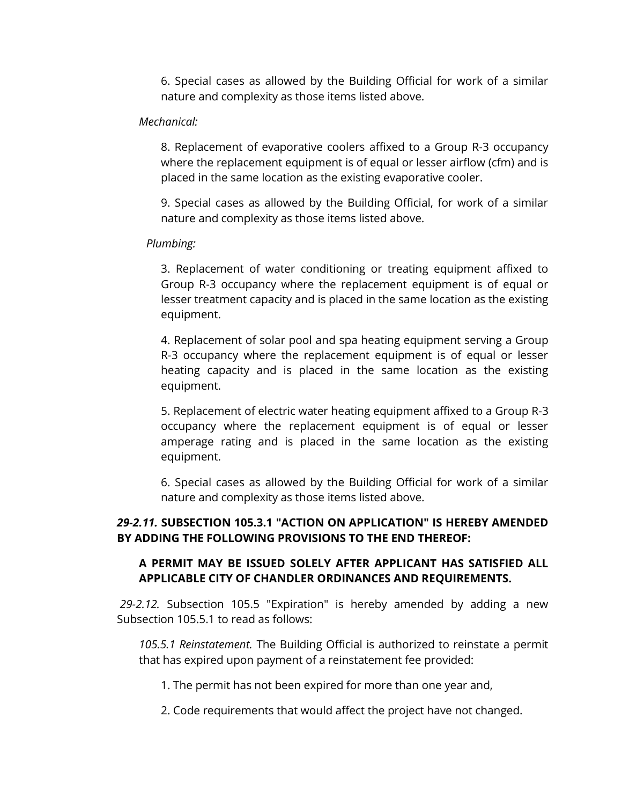6. Special cases as allowed by the Building Official for work of a similar nature and complexity as those items listed above.

#### *Mechanical:*

8. Replacement of evaporative coolers affixed to a Group R-3 occupancy where the replacement equipment is of equal or lesser airflow (cfm) and is placed in the same location as the existing evaporative cooler.

9. Special cases as allowed by the Building Official, for work of a similar nature and complexity as those items listed above.

#### *Plumbing:*

3. Replacement of water conditioning or treating equipment affixed to Group R-3 occupancy where the replacement equipment is of equal or lesser treatment capacity and is placed in the same location as the existing equipment.

4. Replacement of solar pool and spa heating equipment serving a Group R-3 occupancy where the replacement equipment is of equal or lesser heating capacity and is placed in the same location as the existing equipment.

5. Replacement of electric water heating equipment affixed to a Group R-3 occupancy where the replacement equipment is of equal or lesser amperage rating and is placed in the same location as the existing equipment.

6. Special cases as allowed by the Building Official for work of a similar nature and complexity as those items listed above.

## *29-2.11.* **SUBSECTION 105.3.1 "ACTION ON APPLICATION" IS HEREBY AMENDED BY ADDING THE FOLLOWING PROVISIONS TO THE END THEREOF:**

### **A PERMIT MAY BE ISSUED SOLELY AFTER APPLICANT HAS SATISFIED ALL APPLICABLE CITY OF CHANDLER ORDINANCES AND REQUIREMENTS.**

*29-2.12.* Subsection 105.5 "Expiration" is hereby amended by adding a new Subsection 105.5.1 to read as follows:

*105.5.1 Reinstatement.* The Building Official is authorized to reinstate a permit that has expired upon payment of a reinstatement fee provided:

- 1. The permit has not been expired for more than one year and,
- 2. Code requirements that would affect the project have not changed.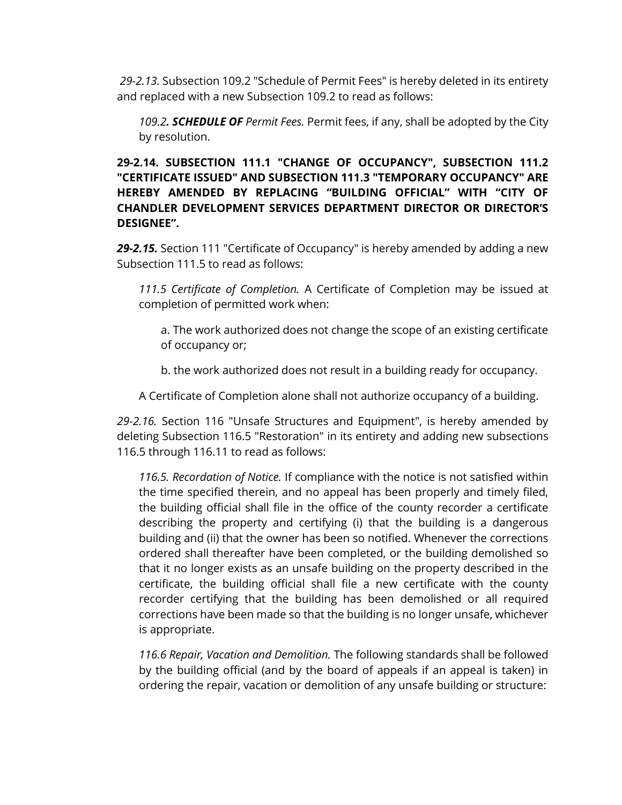*29-2.13.* Subsection 109.2 "Schedule of Permit Fees" is hereby deleted in its entirety and replaced with a new Subsection 109.2 to read as follows:

*109.2. SCHEDULE OF Permit Fees.* Permit fees, if any, shall be adopted by the City by resolution.

**29-2.14. SUBSECTION 111.1 "CHANGE OF OCCUPANCY", SUBSECTION 111.2 "CERTIFICATE ISSUED" AND SUBSECTION 111.3 "TEMPORARY OCCUPANCY" ARE HEREBY AMENDED BY REPLACING "BUILDING OFFICIAL" WITH "CITY OF CHANDLER DEVELOPMENT SERVICES DEPARTMENT DIRECTOR OR DIRECTOR'S DESIGNEE".**

*29-2.15.* Section 111 "Certificate of Occupancy" is hereby amended by adding a new Subsection 111.5 to read as follows:

*111.5 Certificate of Completion.* A Certificate of Completion may be issued at completion of permitted work when:

a. The work authorized does not change the scope of an existing certificate of occupancy or;

b. the work authorized does not result in a building ready for occupancy.

A Certificate of Completion alone shall not authorize occupancy of a building.

*29-2.16.* Section 116 "Unsafe Structures and Equipment", is hereby amended by deleting Subsection 116.5 "Restoration" in its entirety and adding new subsections 116.5 through 116.11 to read as follows:

*116.5. Recordation of Notice.* If compliance with the notice is not satisfied within the time specified therein, and no appeal has been properly and timely filed, the building official shall file in the office of the county recorder a certificate describing the property and certifying (i) that the building is a dangerous building and (ii) that the owner has been so notified. Whenever the corrections ordered shall thereafter have been completed, or the building demolished so that it no longer exists as an unsafe building on the property described in the certificate, the building official shall file a new certificate with the county recorder certifying that the building has been demolished or all required corrections have been made so that the building is no longer unsafe, whichever is appropriate.

*116.6 Repair, Vacation and Demolition.* The following standards shall be followed by the building official (and by the board of appeals if an appeal is taken) in ordering the repair, vacation or demolition of any unsafe building or structure: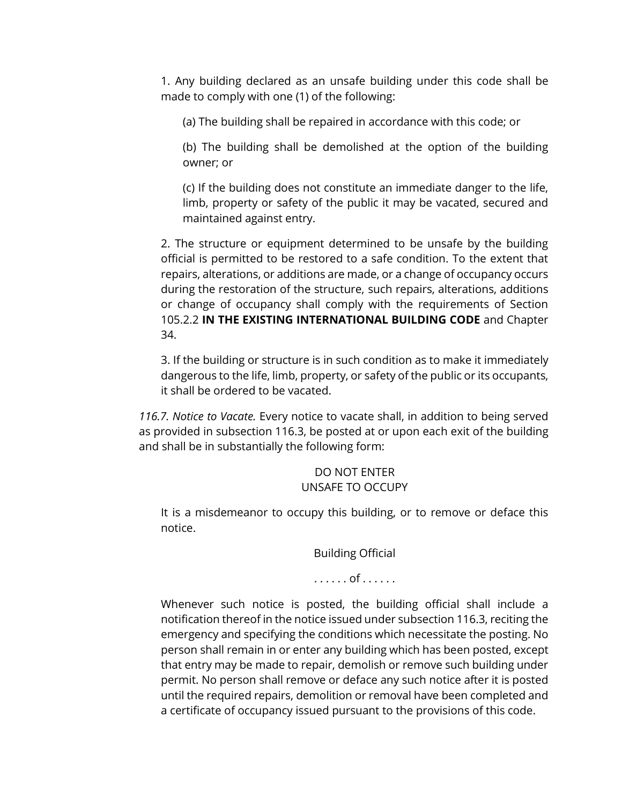1. Any building declared as an unsafe building under this code shall be made to comply with one (1) of the following:

(a) The building shall be repaired in accordance with this code; or

(b) The building shall be demolished at the option of the building owner; or

(c) If the building does not constitute an immediate danger to the life, limb, property or safety of the public it may be vacated, secured and maintained against entry.

2. The structure or equipment determined to be unsafe by the building official is permitted to be restored to a safe condition. To the extent that repairs, alterations, or additions are made, or a change of occupancy occurs during the restoration of the structure, such repairs, alterations, additions or change of occupancy shall comply with the requirements of Section 105.2.2 **IN THE EXISTING INTERNATIONAL BUILDING CODE** and Chapter 34.

3. If the building or structure is in such condition as to make it immediately dangerous to the life, limb, property, or safety of the public or its occupants, it shall be ordered to be vacated.

*116.7. Notice to Vacate.* Every notice to vacate shall, in addition to being served as provided in subsection 116.3, be posted at or upon each exit of the building and shall be in substantially the following form:

## DO NOT ENTER UNSAFE TO OCCUPY

It is a misdemeanor to occupy this building, or to remove or deface this notice.

Building Official

## . . . . . . of . . . . . .

Whenever such notice is posted, the building official shall include a notification thereof in the notice issued under subsection 116.3, reciting the emergency and specifying the conditions which necessitate the posting. No person shall remain in or enter any building which has been posted, except that entry may be made to repair, demolish or remove such building under permit. No person shall remove or deface any such notice after it is posted until the required repairs, demolition or removal have been completed and a certificate of occupancy issued pursuant to the provisions of this code.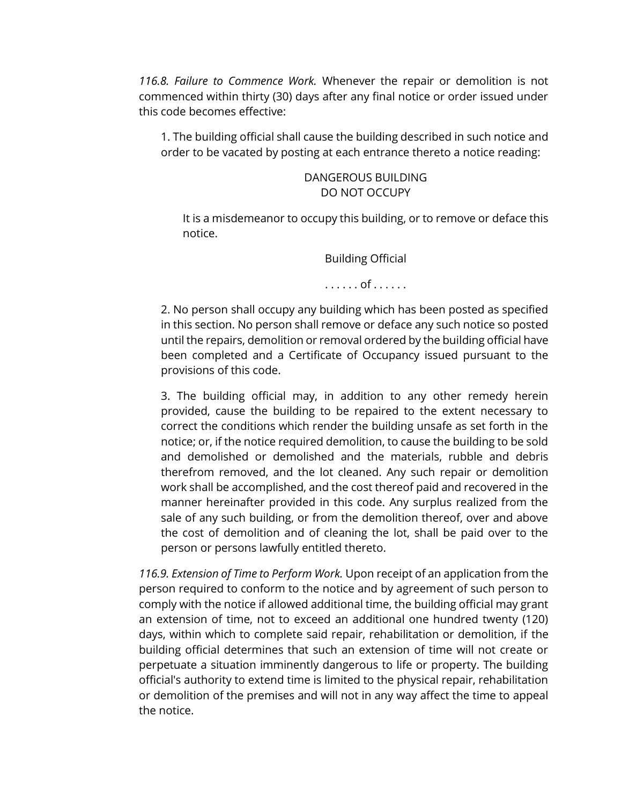*116.8. Failure to Commence Work.* Whenever the repair or demolition is not commenced within thirty (30) days after any final notice or order issued under this code becomes effective:

1. The building official shall cause the building described in such notice and order to be vacated by posting at each entrance thereto a notice reading:

#### DANGEROUS BUILDING DO NOT OCCUPY

It is a misdemeanor to occupy this building, or to remove or deface this notice.

Building Official

. . . . . . of . . . . . .

2. No person shall occupy any building which has been posted as specified in this section. No person shall remove or deface any such notice so posted until the repairs, demolition or removal ordered by the building official have been completed and a Certificate of Occupancy issued pursuant to the provisions of this code.

3. The building official may, in addition to any other remedy herein provided, cause the building to be repaired to the extent necessary to correct the conditions which render the building unsafe as set forth in the notice; or, if the notice required demolition, to cause the building to be sold and demolished or demolished and the materials, rubble and debris therefrom removed, and the lot cleaned. Any such repair or demolition work shall be accomplished, and the cost thereof paid and recovered in the manner hereinafter provided in this code. Any surplus realized from the sale of any such building, or from the demolition thereof, over and above the cost of demolition and of cleaning the lot, shall be paid over to the person or persons lawfully entitled thereto.

*116.9. Extension of Time to Perform Work.* Upon receipt of an application from the person required to conform to the notice and by agreement of such person to comply with the notice if allowed additional time, the building official may grant an extension of time, not to exceed an additional one hundred twenty (120) days, within which to complete said repair, rehabilitation or demolition, if the building official determines that such an extension of time will not create or perpetuate a situation imminently dangerous to life or property. The building official's authority to extend time is limited to the physical repair, rehabilitation or demolition of the premises and will not in any way affect the time to appeal the notice.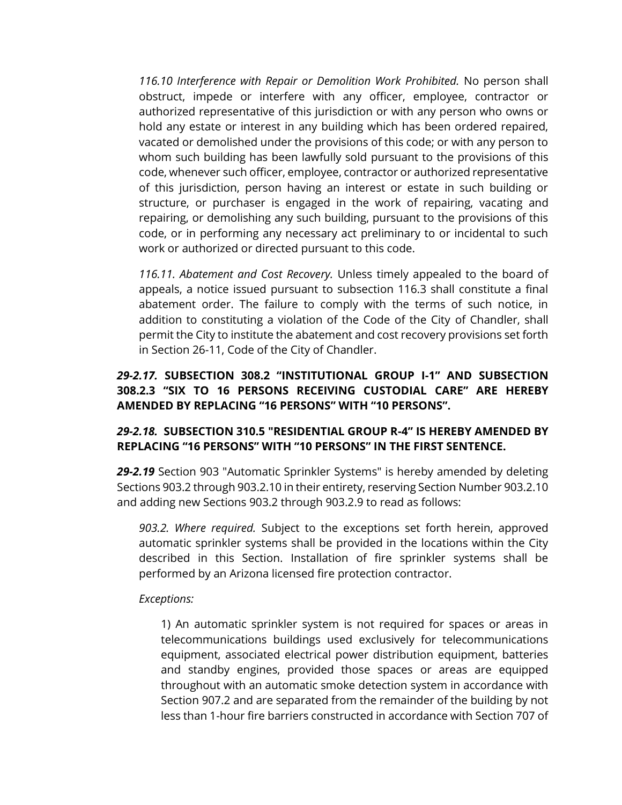*116.10 Interference with Repair or Demolition Work Prohibited.* No person shall obstruct, impede or interfere with any officer, employee, contractor or authorized representative of this jurisdiction or with any person who owns or hold any estate or interest in any building which has been ordered repaired, vacated or demolished under the provisions of this code; or with any person to whom such building has been lawfully sold pursuant to the provisions of this code, whenever such officer, employee, contractor or authorized representative of this jurisdiction, person having an interest or estate in such building or structure, or purchaser is engaged in the work of repairing, vacating and repairing, or demolishing any such building, pursuant to the provisions of this code, or in performing any necessary act preliminary to or incidental to such work or authorized or directed pursuant to this code.

*116.11. Abatement and Cost Recovery.* Unless timely appealed to the board of appeals, a notice issued pursuant to subsection 116.3 shall constitute a final abatement order. The failure to comply with the terms of such notice, in addition to constituting a violation of the Code of the City of Chandler, shall permit the City to institute the abatement and cost recovery provisions set forth in Section 26-11, Code of the City of Chandler.

## *29-2.17.* **SUBSECTION 308.2 "INSTITUTIONAL GROUP I-1" AND SUBSECTION 308.2.3 "SIX TO 16 PERSONS RECEIVING CUSTODIAL CARE" ARE HEREBY AMENDED BY REPLACING "16 PERSONS" WITH "10 PERSONS".**

### *29-2.18.* **SUBSECTION 310.5 "RESIDENTIAL GROUP R-4" IS HEREBY AMENDED BY REPLACING "16 PERSONS" WITH "10 PERSONS" IN THE FIRST SENTENCE.**

*29-2.19* Section 903 "Automatic Sprinkler Systems" is hereby amended by deleting Sections 903.2 through 903.2.10 in their entirety, reserving Section Number 903.2.10 and adding new Sections 903.2 through 903.2.9 to read as follows:

*903.2. Where required.* Subject to the exceptions set forth herein, approved automatic sprinkler systems shall be provided in the locations within the City described in this Section. Installation of fire sprinkler systems shall be performed by an Arizona licensed fire protection contractor.

#### *Exceptions:*

1) An automatic sprinkler system is not required for spaces or areas in telecommunications buildings used exclusively for telecommunications equipment, associated electrical power distribution equipment, batteries and standby engines, provided those spaces or areas are equipped throughout with an automatic smoke detection system in accordance with Section 907.2 and are separated from the remainder of the building by not less than 1-hour fire barriers constructed in accordance with Section 707 of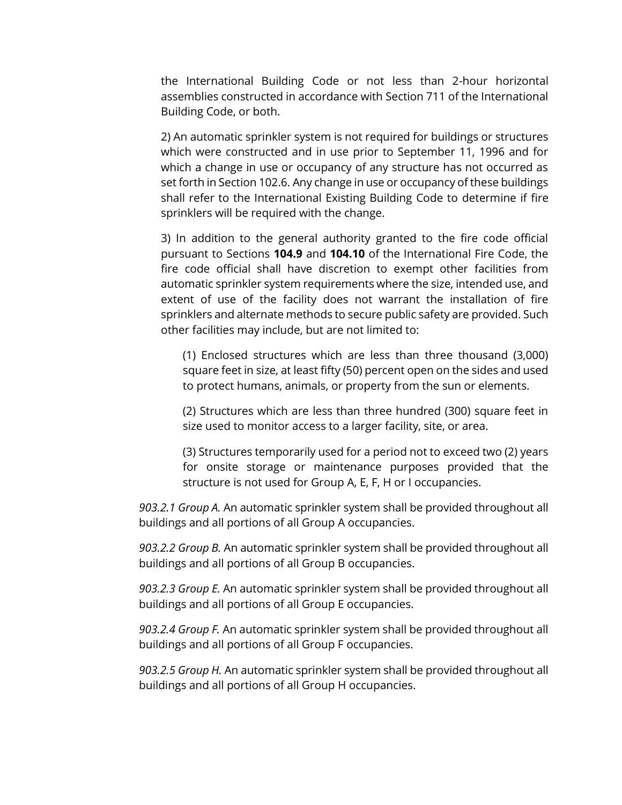the International Building Code or not less than 2-hour horizontal assemblies constructed in accordance with Section 711 of the International Building Code, or both.

2) An automatic sprinkler system is not required for buildings or structures which were constructed and in use prior to September 11, 1996 and for which a change in use or occupancy of any structure has not occurred as set forth in Section 102.6. Any change in use or occupancy of these buildings shall refer to the International Existing Building Code to determine if fire sprinklers will be required with the change.

3) In addition to the general authority granted to the fire code official pursuant to Sections **104.9** and **104.10** of the International Fire Code, the fire code official shall have discretion to exempt other facilities from automatic sprinkler system requirements where the size, intended use, and extent of use of the facility does not warrant the installation of fire sprinklers and alternate methods to secure public safety are provided. Such other facilities may include, but are not limited to:

(1) Enclosed structures which are less than three thousand (3,000) square feet in size, at least fifty (50) percent open on the sides and used to protect humans, animals, or property from the sun or elements.

(2) Structures which are less than three hundred (300) square feet in size used to monitor access to a larger facility, site, or area.

(3) Structures temporarily used for a period not to exceed two (2) years for onsite storage or maintenance purposes provided that the structure is not used for Group A, E, F, H or I occupancies.

*903.2.1 Group A.* An automatic sprinkler system shall be provided throughout all buildings and all portions of all Group A occupancies.

*903.2.2 Group B.* An automatic sprinkler system shall be provided throughout all buildings and all portions of all Group B occupancies.

*903.2.3 Group E.* An automatic sprinkler system shall be provided throughout all buildings and all portions of all Group E occupancies.

*903.2.4 Group F.* An automatic sprinkler system shall be provided throughout all buildings and all portions of all Group F occupancies.

*903.2.5 Group H.* An automatic sprinkler system shall be provided throughout all buildings and all portions of all Group H occupancies.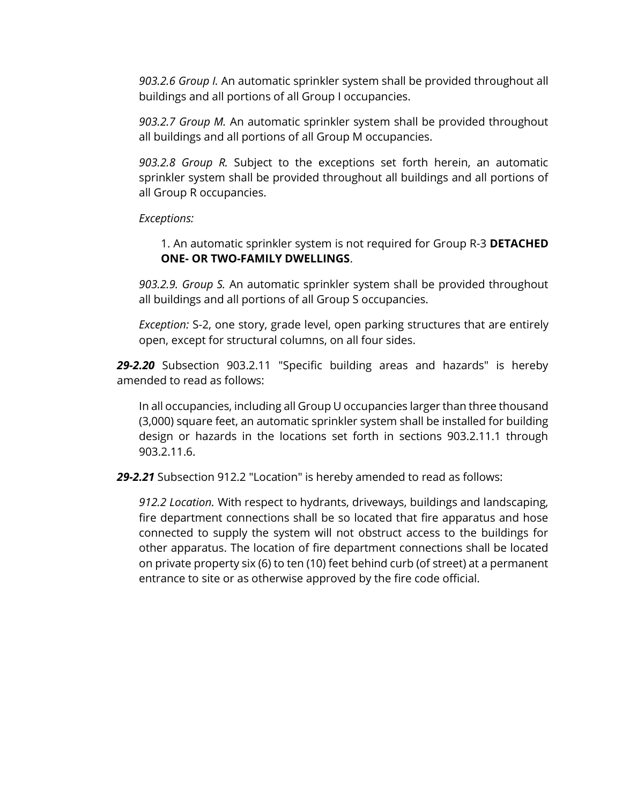*903.2.6 Group I.* An automatic sprinkler system shall be provided throughout all buildings and all portions of all Group I occupancies.

*903.2.7 Group M.* An automatic sprinkler system shall be provided throughout all buildings and all portions of all Group M occupancies.

*903.2.8 Group R.* Subject to the exceptions set forth herein, an automatic sprinkler system shall be provided throughout all buildings and all portions of all Group R occupancies.

*Exceptions:*

1. An automatic sprinkler system is not required for Group R-3 **DETACHED ONE- OR TWO-FAMILY DWELLINGS**.

*903.2.9. Group S.* An automatic sprinkler system shall be provided throughout all buildings and all portions of all Group S occupancies.

*Exception:* S-2, one story, grade level, open parking structures that are entirely open, except for structural columns, on all four sides.

*29-2.20* Subsection 903.2.11 "Specific building areas and hazards" is hereby amended to read as follows:

In all occupancies, including all Group U occupancies larger than three thousand (3,000) square feet, an automatic sprinkler system shall be installed for building design or hazards in the locations set forth in sections 903.2.11.1 through 903.2.11.6.

*29-2.21* Subsection 912.2 "Location" is hereby amended to read as follows:

*912.2 Location.* With respect to hydrants, driveways, buildings and landscaping, fire department connections shall be so located that fire apparatus and hose connected to supply the system will not obstruct access to the buildings for other apparatus. The location of fire department connections shall be located on private property six (6) to ten (10) feet behind curb (of street) at a permanent entrance to site or as otherwise approved by the fire code official.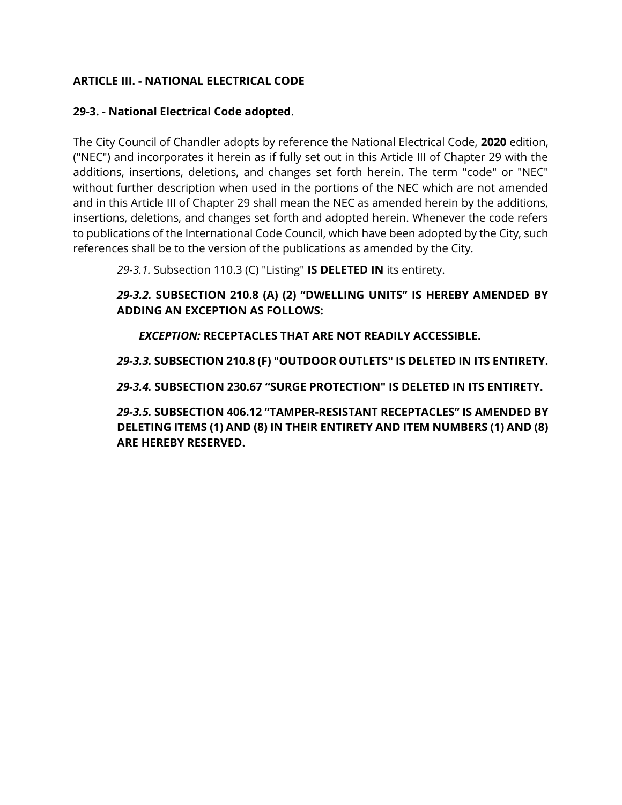## **ARTICLE III. - NATIONAL ELECTRICAL CODE**

#### **29-3. - National Electrical Code adopted**.

The City Council of Chandler adopts by reference the National Electrical Code, **2020** edition, ("NEC") and incorporates it herein as if fully set out in this Article III of Chapter 29 with the additions, insertions, deletions, and changes set forth herein. The term "code" or "NEC" without further description when used in the portions of the NEC which are not amended and in this Article III of Chapter 29 shall mean the NEC as amended herein by the additions, insertions, deletions, and changes set forth and adopted herein. Whenever the code refers to publications of the International Code Council, which have been adopted by the City, such references shall be to the version of the publications as amended by the City.

*29-3.1.* Subsection 110.3 (C) "Listing" **IS DELETED IN** its entirety.

*29-3.2.* **SUBSECTION 210.8 (A) (2) "DWELLING UNITS" IS HEREBY AMENDED BY ADDING AN EXCEPTION AS FOLLOWS:** 

*EXCEPTION:* **RECEPTACLES THAT ARE NOT READILY ACCESSIBLE.** 

*29-3.3.* **SUBSECTION 210.8 (F) "OUTDOOR OUTLETS" IS DELETED IN ITS ENTIRETY.**

*29-3.4.* **SUBSECTION 230.67 "SURGE PROTECTION" IS DELETED IN ITS ENTIRETY.**

*29-3.5.* **SUBSECTION 406.12 "TAMPER-RESISTANT RECEPTACLES" IS AMENDED BY DELETING ITEMS (1) AND (8) IN THEIR ENTIRETY AND ITEM NUMBERS (1) AND (8) ARE HEREBY RESERVED.**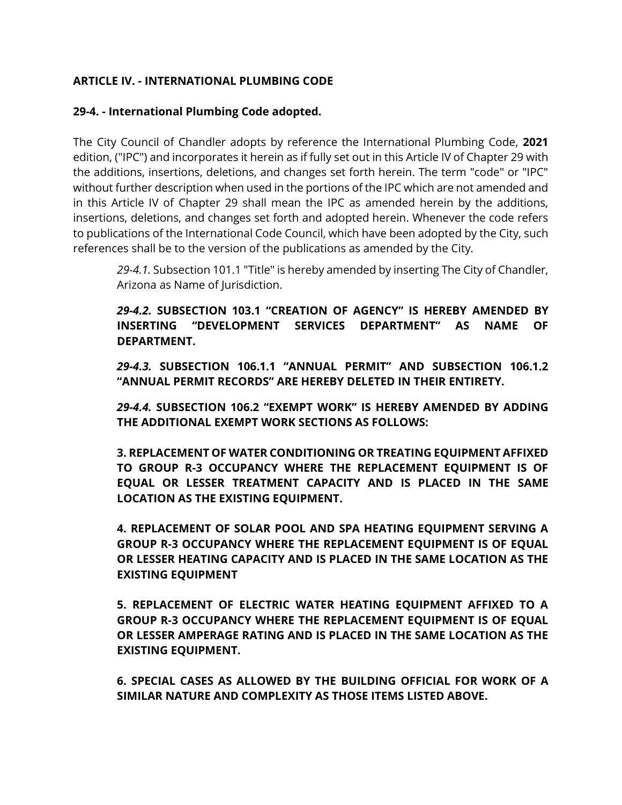### **ARTICLE IV. - INTERNATIONAL PLUMBING CODE**

#### **29-4. - International Plumbing Code adopted.**

The City Council of Chandler adopts by reference the International Plumbing Code, **2021**  edition, ("IPC") and incorporates it herein as if fully set out in this Article IV of Chapter 29 with the additions, insertions, deletions, and changes set forth herein. The term "code" or "IPC" without further description when used in the portions of the IPC which are not amended and in this Article IV of Chapter 29 shall mean the IPC as amended herein by the additions, insertions, deletions, and changes set forth and adopted herein. Whenever the code refers to publications of the International Code Council, which have been adopted by the City, such references shall be to the version of the publications as amended by the City.

*29-4.1.* Subsection 101.1 "Title" is hereby amended by inserting The City of Chandler, Arizona as Name of Jurisdiction.

*29-4.2.* **SUBSECTION 103.1 "CREATION OF AGENCY" IS HEREBY AMENDED BY INSERTING "DEVELOPMENT SERVICES DEPARTMENT" AS NAME OF DEPARTMENT.**

*29-4.3.* **SUBSECTION 106.1.1 "ANNUAL PERMIT" AND SUBSECTION 106.1.2 "ANNUAL PERMIT RECORDS" ARE HEREBY DELETED IN THEIR ENTIRETY.**

*29-4.4.* **SUBSECTION 106.2 "EXEMPT WORK" IS HEREBY AMENDED BY ADDING THE ADDITIONAL EXEMPT WORK SECTIONS AS FOLLOWS:**

**3. REPLACEMENT OF WATER CONDITIONING OR TREATING EQUIPMENT AFFIXED TO GROUP R-3 OCCUPANCY WHERE THE REPLACEMENT EQUIPMENT IS OF EQUAL OR LESSER TREATMENT CAPACITY AND IS PLACED IN THE SAME LOCATION AS THE EXISTING EQUIPMENT.**

**4. REPLACEMENT OF SOLAR POOL AND SPA HEATING EQUIPMENT SERVING A GROUP R-3 OCCUPANCY WHERE THE REPLACEMENT EQUIPMENT IS OF EQUAL OR LESSER HEATING CAPACITY AND IS PLACED IN THE SAME LOCATION AS THE EXISTING EQUIPMENT**

**5. REPLACEMENT OF ELECTRIC WATER HEATING EQUIPMENT AFFIXED TO A GROUP R-3 OCCUPANCY WHERE THE REPLACEMENT EQUIPMENT IS OF EQUAL OR LESSER AMPERAGE RATING AND IS PLACED IN THE SAME LOCATION AS THE EXISTING EQUIPMENT.**

**6. SPECIAL CASES AS ALLOWED BY THE BUILDING OFFICIAL FOR WORK OF A SIMILAR NATURE AND COMPLEXITY AS THOSE ITEMS LISTED ABOVE.**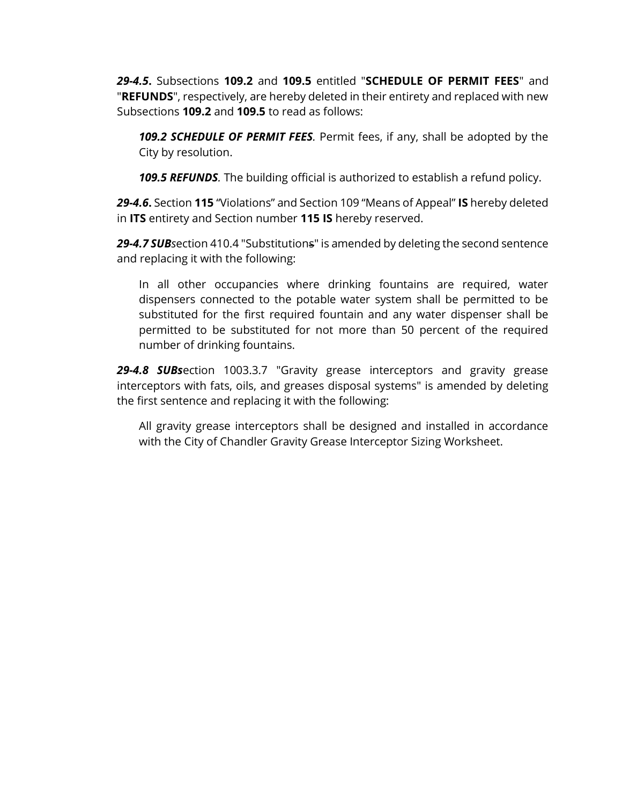*29-4.5***.** Subsections **109.2** and **109.5** entitled "**SCHEDULE OF PERMIT FEES**" and "**REFUNDS**", respectively, are hereby deleted in their entirety and replaced with new Subsections **109.2** and **109.5** to read as follows:

*109.2 SCHEDULE OF PERMIT FEES.* Permit fees, if any, shall be adopted by the City by resolution.

*109.5 REFUNDS.* The building official is authorized to establish a refund policy.

*29-4.6***.** Section **115** "Violations" and Section 109 "Means of Appeal" **IS** hereby deleted in **ITS** entirety and Section number **115 IS** hereby reserved.

*29-4.7 SUBs*ection 410.4 "Substitutions" is amended by deleting the second sentence and replacing it with the following:

In all other occupancies where drinking fountains are required, water dispensers connected to the potable water system shall be permitted to be substituted for the first required fountain and any water dispenser shall be permitted to be substituted for not more than 50 percent of the required number of drinking fountains.

*29-4.8 SUBs*ection 1003.3.7 "Gravity grease interceptors and gravity grease interceptors with fats, oils, and greases disposal systems" is amended by deleting the first sentence and replacing it with the following:

All gravity grease interceptors shall be designed and installed in accordance with the City of Chandler Gravity Grease Interceptor Sizing Worksheet.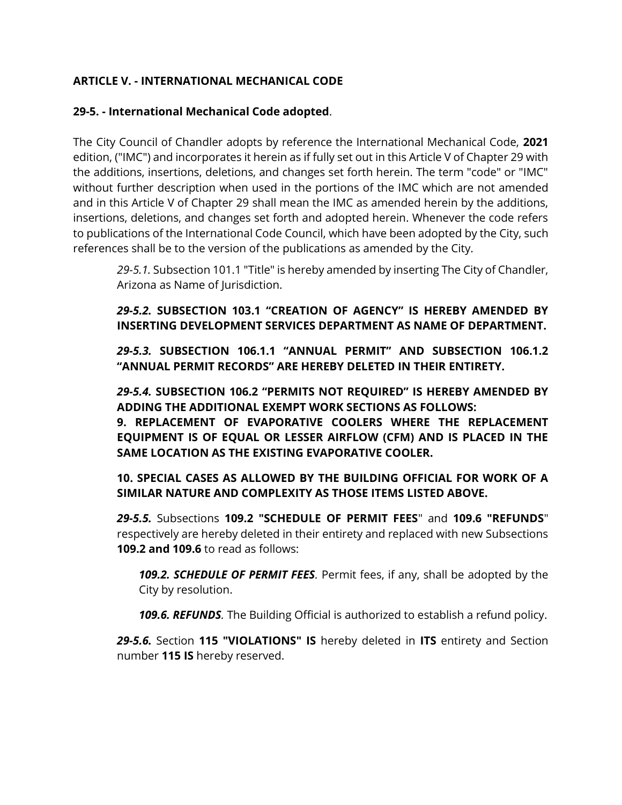## **ARTICLE V. - INTERNATIONAL MECHANICAL CODE**

### **29-5. - International Mechanical Code adopted**.

The City Council of Chandler adopts by reference the International Mechanical Code, **2021** edition, ("IMC") and incorporates it herein as if fully set out in this Article V of Chapter 29 with the additions, insertions, deletions, and changes set forth herein. The term "code" or "IMC" without further description when used in the portions of the IMC which are not amended and in this Article V of Chapter 29 shall mean the IMC as amended herein by the additions, insertions, deletions, and changes set forth and adopted herein. Whenever the code refers to publications of the International Code Council, which have been adopted by the City, such references shall be to the version of the publications as amended by the City.

*29-5.1.* Subsection 101.1 "Title" is hereby amended by inserting The City of Chandler, Arizona as Name of Jurisdiction.

## *29-5.2.* **SUBSECTION 103.1 "CREATION OF AGENCY" IS HEREBY AMENDED BY INSERTING DEVELOPMENT SERVICES DEPARTMENT AS NAME OF DEPARTMENT.**

*29-5.3.* **SUBSECTION 106.1.1 "ANNUAL PERMIT" AND SUBSECTION 106.1.2 "ANNUAL PERMIT RECORDS" ARE HEREBY DELETED IN THEIR ENTIRETY.**

*29-5.4.* **SUBSECTION 106.2 "PERMITS NOT REQUIRED" IS HEREBY AMENDED BY ADDING THE ADDITIONAL EXEMPT WORK SECTIONS AS FOLLOWS:**

**9. REPLACEMENT OF EVAPORATIVE COOLERS WHERE THE REPLACEMENT EQUIPMENT IS OF EQUAL OR LESSER AIRFLOW (CFM) AND IS PLACED IN THE SAME LOCATION AS THE EXISTING EVAPORATIVE COOLER.** 

### **10. SPECIAL CASES AS ALLOWED BY THE BUILDING OFFICIAL FOR WORK OF A SIMILAR NATURE AND COMPLEXITY AS THOSE ITEMS LISTED ABOVE.**

*29-5.5.* Subsections **109.2 "SCHEDULE OF PERMIT FEES**" and **109.6 "REFUNDS**" respectively are hereby deleted in their entirety and replaced with new Subsections **109.2 and 109.6** to read as follows:

*109.2. SCHEDULE OF PERMIT FEES.* Permit fees, if any, shall be adopted by the City by resolution.

*109.6. REFUNDS.* The Building Official is authorized to establish a refund policy.

*29-5.6.* Section **115 "VIOLATIONS" IS** hereby deleted in **ITS** entirety and Section number **115 IS** hereby reserved.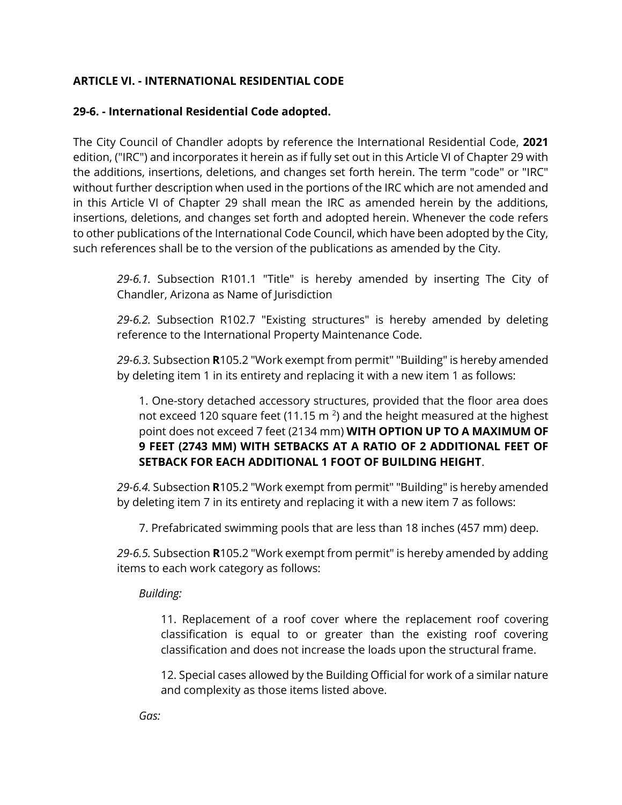## **ARTICLE VI. - INTERNATIONAL RESIDENTIAL CODE**

### **29-6. - International Residential Code adopted.**

The City Council of Chandler adopts by reference the International Residential Code, **2021** edition, ("IRC") and incorporates it herein as if fully set out in this Article VI of Chapter 29 with the additions, insertions, deletions, and changes set forth herein. The term "code" or "IRC" without further description when used in the portions of the IRC which are not amended and in this Article VI of Chapter 29 shall mean the IRC as amended herein by the additions, insertions, deletions, and changes set forth and adopted herein. Whenever the code refers to other publications of the International Code Council, which have been adopted by the City, such references shall be to the version of the publications as amended by the City.

*29-6.1.* Subsection R101.1 "Title" is hereby amended by inserting The City of Chandler, Arizona as Name of Jurisdiction

*29-6.2.* Subsection R102.7 "Existing structures" is hereby amended by deleting reference to the International Property Maintenance Code.

*29-6.3.* Subsection **R**105.2 "Work exempt from permit" "Building" is hereby amended by deleting item 1 in its entirety and replacing it with a new item 1 as follows:

1. One-story detached accessory structures, provided that the floor area does not exceed 120 square feet (11.15 m<sup>2</sup>) and the height measured at the highest point does not exceed 7 feet (2134 mm) **WITH OPTION UP TO A MAXIMUM OF 9 FEET (2743 MM) WITH SETBACKS AT A RATIO OF 2 ADDITIONAL FEET OF SETBACK FOR EACH ADDITIONAL 1 FOOT OF BUILDING HEIGHT**.

*29-6.4.* Subsection **R**105.2 "Work exempt from permit" "Building" is hereby amended by deleting item 7 in its entirety and replacing it with a new item 7 as follows:

7. Prefabricated swimming pools that are less than 18 inches (457 mm) deep.

*29-6.5.* Subsection **R**105.2 "Work exempt from permit" is hereby amended by adding items to each work category as follows:

*Building:*

11. Replacement of a roof cover where the replacement roof covering classification is equal to or greater than the existing roof covering classification and does not increase the loads upon the structural frame.

12. Special cases allowed by the Building Official for work of a similar nature and complexity as those items listed above.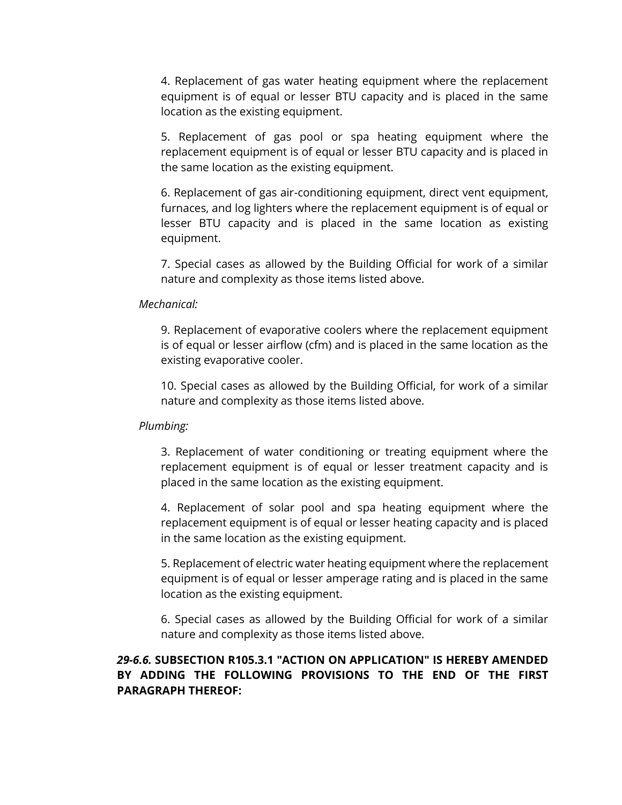4. Replacement of gas water heating equipment where the replacement equipment is of equal or lesser BTU capacity and is placed in the same location as the existing equipment.

5. Replacement of gas pool or spa heating equipment where the replacement equipment is of equal or lesser BTU capacity and is placed in the same location as the existing equipment.

6. Replacement of gas air-conditioning equipment, direct vent equipment, furnaces, and log lighters where the replacement equipment is of equal or lesser BTU capacity and is placed in the same location as existing equipment.

7. Special cases as allowed by the Building Official for work of a similar nature and complexity as those items listed above.

#### *Mechanical:*

9. Replacement of evaporative coolers where the replacement equipment is of equal or lesser airflow (cfm) and is placed in the same location as the existing evaporative cooler.

10. Special cases as allowed by the Building Official, for work of a similar nature and complexity as those items listed above.

#### *Plumbing:*

3. Replacement of water conditioning or treating equipment where the replacement equipment is of equal or lesser treatment capacity and is placed in the same location as the existing equipment.

4. Replacement of solar pool and spa heating equipment where the replacement equipment is of equal or lesser heating capacity and is placed in the same location as the existing equipment.

5. Replacement of electric water heating equipment where the replacement equipment is of equal or lesser amperage rating and is placed in the same location as the existing equipment.

6. Special cases as allowed by the Building Official for work of a similar nature and complexity as those items listed above.

### *29-6.6.* **SUBSECTION R105.3.1 "ACTION ON APPLICATION" IS HEREBY AMENDED BY ADDING THE FOLLOWING PROVISIONS TO THE END OF THE FIRST PARAGRAPH THEREOF:**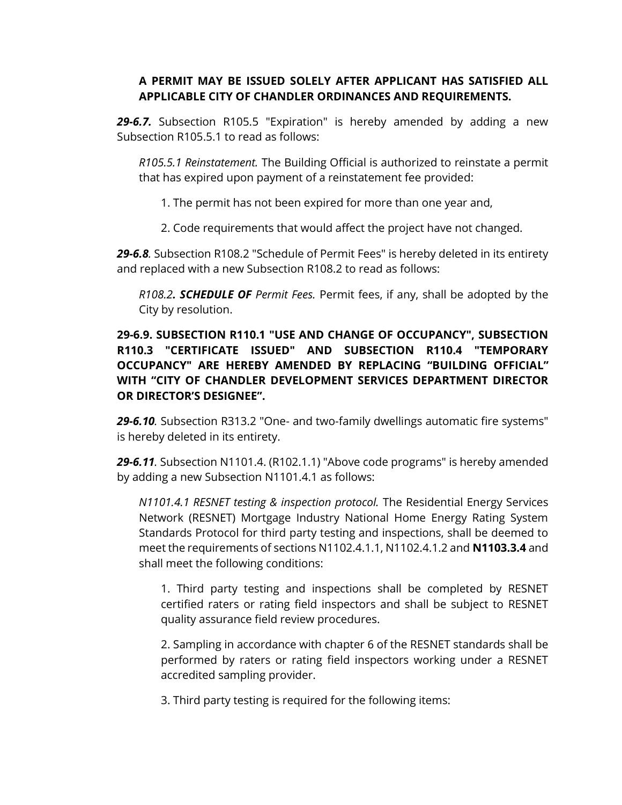### **A PERMIT MAY BE ISSUED SOLELY AFTER APPLICANT HAS SATISFIED ALL APPLICABLE CITY OF CHANDLER ORDINANCES AND REQUIREMENTS.**

*29-6.7.* Subsection R105.5 "Expiration" is hereby amended by adding a new Subsection R105.5.1 to read as follows:

*R105.5.1 Reinstatement.* The Building Official is authorized to reinstate a permit that has expired upon payment of a reinstatement fee provided:

1. The permit has not been expired for more than one year and,

2. Code requirements that would affect the project have not changed.

*29-6.8.* Subsection R108.2 "Schedule of Permit Fees" is hereby deleted in its entirety and replaced with a new Subsection R108.2 to read as follows:

*R108.2. SCHEDULE OF Permit Fees.* Permit fees, if any, shall be adopted by the City by resolution.

## **29-6.9. SUBSECTION R110.1 "USE AND CHANGE OF OCCUPANCY", SUBSECTION R110.3 "CERTIFICATE ISSUED" AND SUBSECTION R110.4 "TEMPORARY OCCUPANCY" ARE HEREBY AMENDED BY REPLACING "BUILDING OFFICIAL" WITH "CITY OF CHANDLER DEVELOPMENT SERVICES DEPARTMENT DIRECTOR OR DIRECTOR'S DESIGNEE".**

*29-6.10.* Subsection R313.2 "One- and two-family dwellings automatic fire systems" is hereby deleted in its entirety.

*29-6.11.* Subsection N1101.4. (R102.1.1) "Above code programs" is hereby amended by adding a new Subsection N1101.4.1 as follows:

*N1101.4.1 RESNET testing & inspection protocol.* The Residential Energy Services Network (RESNET) Mortgage Industry National Home Energy Rating System Standards Protocol for third party testing and inspections, shall be deemed to meet the requirements of sections N1102.4.1.1, N1102.4.1.2 and **N1103.3.4** and shall meet the following conditions:

1. Third party testing and inspections shall be completed by RESNET certified raters or rating field inspectors and shall be subject to RESNET quality assurance field review procedures.

2. Sampling in accordance with chapter 6 of the RESNET standards shall be performed by raters or rating field inspectors working under a RESNET accredited sampling provider.

3. Third party testing is required for the following items: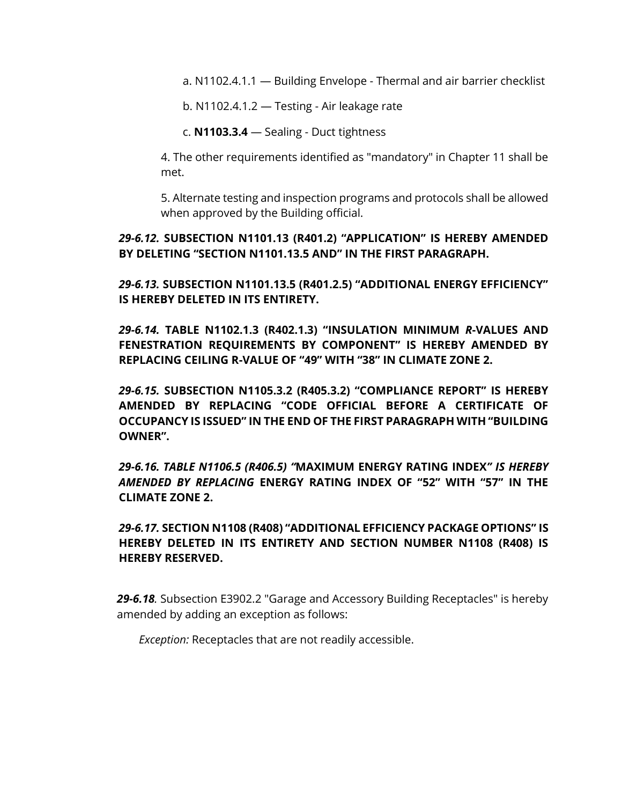a. N1102.4.1.1 — Building Envelope - Thermal and air barrier checklist

b. N1102.4.1.2 — Testing - Air leakage rate

c. **N1103.3.4** — Sealing - Duct tightness

4. The other requirements identified as "mandatory" in Chapter 11 shall be met.

5. Alternate testing and inspection programs and protocols shall be allowed when approved by the Building official.

#### *29-6.12.* **SUBSECTION N1101.13 (R401.2) "APPLICATION" IS HEREBY AMENDED BY DELETING "SECTION N1101.13.5 AND" IN THE FIRST PARAGRAPH.**

*29-6.13.* **SUBSECTION N1101.13.5 (R401.2.5) "ADDITIONAL ENERGY EFFICIENCY" IS HEREBY DELETED IN ITS ENTIRETY.** 

*29-6.14.* **TABLE N1102.1.3 (R402.1.3) "INSULATION MINIMUM** *R***-VALUES AND FENESTRATION REQUIREMENTS BY COMPONENT" IS HEREBY AMENDED BY REPLACING CEILING R-VALUE OF "49" WITH "38" IN CLIMATE ZONE 2.**

*29-6.15.* **SUBSECTION N1105.3.2 (R405.3.2) "COMPLIANCE REPORT" IS HEREBY AMENDED BY REPLACING "CODE OFFICIAL BEFORE A CERTIFICATE OF OCCUPANCY IS ISSUED" IN THE END OF THE FIRST PARAGRAPH WITH "BUILDING OWNER".**

*29-6.16. TABLE N1106.5 (R406.5) "***MAXIMUM ENERGY RATING INDEX***" IS HEREBY AMENDED BY REPLACING* **ENERGY RATING INDEX OF "52" WITH "57" IN THE CLIMATE ZONE 2.**

*29-6.17.* **SECTION N1108 (R408) "ADDITIONAL EFFICIENCY PACKAGE OPTIONS" IS HEREBY DELETED IN ITS ENTIRETY AND SECTION NUMBER N1108 (R408) IS HEREBY RESERVED.**

*29-6.18.* Subsection E3902.2 "Garage and Accessory Building Receptacles" is hereby amended by adding an exception as follows:

*Exception:* Receptacles that are not readily accessible.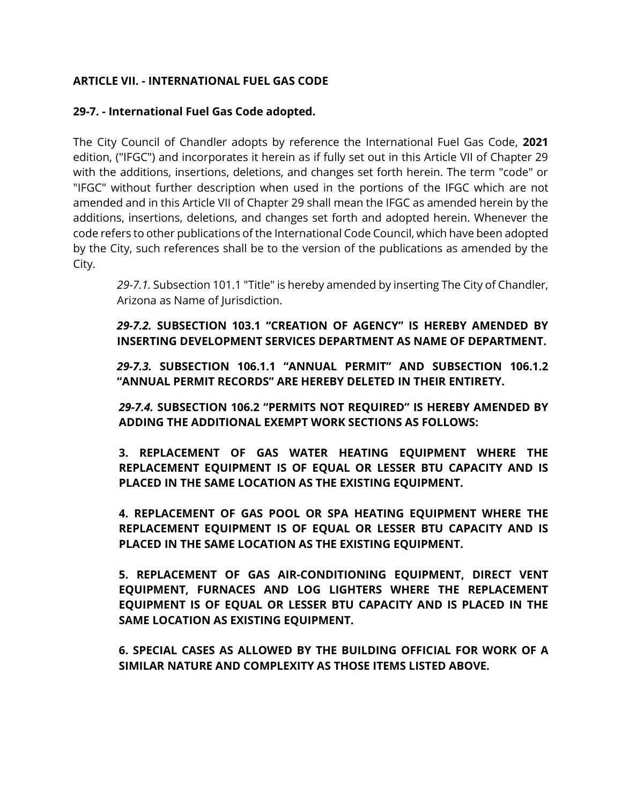### **ARTICLE VII. - INTERNATIONAL FUEL GAS CODE**

#### **29-7. - International Fuel Gas Code adopted.**

The City Council of Chandler adopts by reference the International Fuel Gas Code, **2021** edition, ("IFGC") and incorporates it herein as if fully set out in this Article VII of Chapter 29 with the additions, insertions, deletions, and changes set forth herein. The term "code" or "IFGC" without further description when used in the portions of the IFGC which are not amended and in this Article VII of Chapter 29 shall mean the IFGC as amended herein by the additions, insertions, deletions, and changes set forth and adopted herein. Whenever the code refers to other publications of the International Code Council, which have been adopted by the City, such references shall be to the version of the publications as amended by the City.

*29-7.1.* Subsection 101.1 "Title" is hereby amended by inserting The City of Chandler, Arizona as Name of Jurisdiction.

*29-7.2.* **SUBSECTION 103.1 "CREATION OF AGENCY" IS HEREBY AMENDED BY INSERTING DEVELOPMENT SERVICES DEPARTMENT AS NAME OF DEPARTMENT.**

*29-7.3.* **SUBSECTION 106.1.1 "ANNUAL PERMIT" AND SUBSECTION 106.1.2 "ANNUAL PERMIT RECORDS" ARE HEREBY DELETED IN THEIR ENTIRETY.**

*29-7.4.* **SUBSECTION 106.2 "PERMITS NOT REQUIRED" IS HEREBY AMENDED BY ADDING THE ADDITIONAL EXEMPT WORK SECTIONS AS FOLLOWS:**

**3. REPLACEMENT OF GAS WATER HEATING EQUIPMENT WHERE THE REPLACEMENT EQUIPMENT IS OF EQUAL OR LESSER BTU CAPACITY AND IS PLACED IN THE SAME LOCATION AS THE EXISTING EQUIPMENT.**

**4. REPLACEMENT OF GAS POOL OR SPA HEATING EQUIPMENT WHERE THE REPLACEMENT EQUIPMENT IS OF EQUAL OR LESSER BTU CAPACITY AND IS PLACED IN THE SAME LOCATION AS THE EXISTING EQUIPMENT.**

**5. REPLACEMENT OF GAS AIR-CONDITIONING EQUIPMENT, DIRECT VENT EQUIPMENT, FURNACES AND LOG LIGHTERS WHERE THE REPLACEMENT EQUIPMENT IS OF EQUAL OR LESSER BTU CAPACITY AND IS PLACED IN THE SAME LOCATION AS EXISTING EQUIPMENT.**

**6. SPECIAL CASES AS ALLOWED BY THE BUILDING OFFICIAL FOR WORK OF A SIMILAR NATURE AND COMPLEXITY AS THOSE ITEMS LISTED ABOVE.**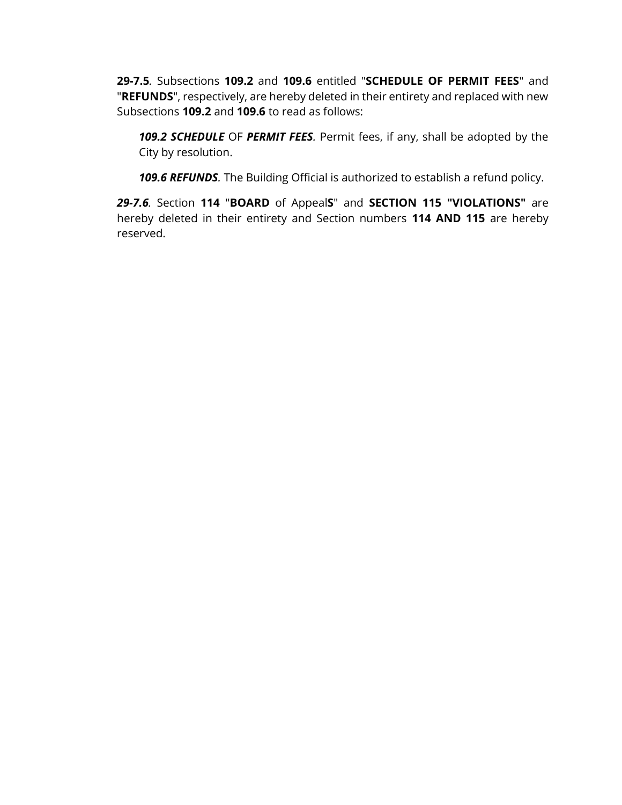**29-7.5***.* Subsections **109.2** and **109.6** entitled "**SCHEDULE OF PERMIT FEES**" and "**REFUNDS**", respectively, are hereby deleted in their entirety and replaced with new Subsections **109.2** and **109.6** to read as follows:

*109.2 SCHEDULE* OF *PERMIT FEES.* Permit fees, if any, shall be adopted by the City by resolution.

*109.6 REFUNDS.* The Building Official is authorized to establish a refund policy.

*29-7.6.* Section **114** "**BOARD** of Appeal**S**" and **SECTION 115 "VIOLATIONS"** are hereby deleted in their entirety and Section numbers **114 AND 115** are hereby reserved.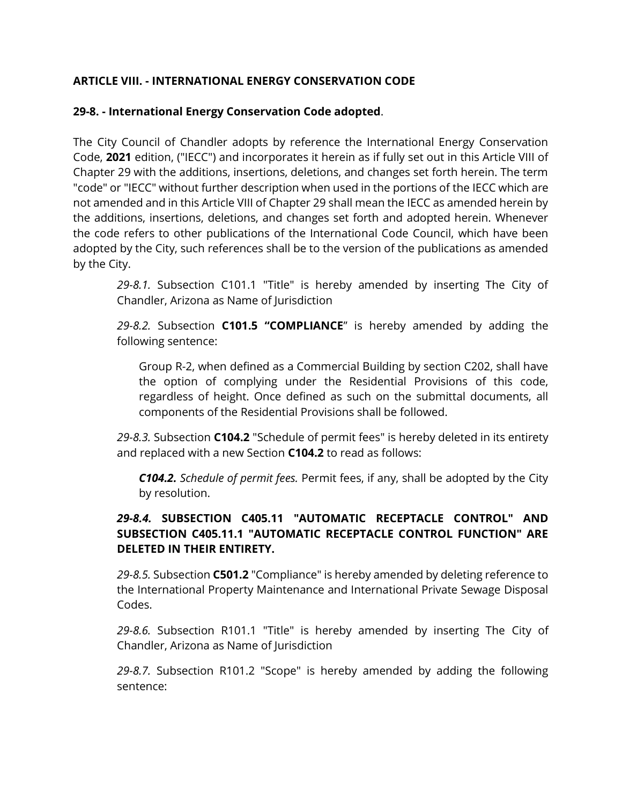## **ARTICLE VIII. - INTERNATIONAL ENERGY CONSERVATION CODE**

#### **29-8. - International Energy Conservation Code adopted**.

The City Council of Chandler adopts by reference the International Energy Conservation Code, **2021** edition, ("IECC") and incorporates it herein as if fully set out in this Article VIII of Chapter 29 with the additions, insertions, deletions, and changes set forth herein. The term "code" or "IECC" without further description when used in the portions of the IECC which are not amended and in this Article VIII of Chapter 29 shall mean the IECC as amended herein by the additions, insertions, deletions, and changes set forth and adopted herein. Whenever the code refers to other publications of the International Code Council, which have been adopted by the City, such references shall be to the version of the publications as amended by the City.

*29-8.1.* Subsection C101.1 "Title" is hereby amended by inserting The City of Chandler, Arizona as Name of Jurisdiction

*29-8.2.* Subsection **C101.5 "COMPLIANCE**" is hereby amended by adding the following sentence:

Group R-2, when defined as a Commercial Building by section C202, shall have the option of complying under the Residential Provisions of this code, regardless of height. Once defined as such on the submittal documents, all components of the Residential Provisions shall be followed.

*29-8.3.* Subsection **C104.2** "Schedule of permit fees" is hereby deleted in its entirety and replaced with a new Section **C104.2** to read as follows:

*C104.2. Schedule of permit fees.* Permit fees, if any, shall be adopted by the City by resolution.

## *29-8.4.* **SUBSECTION C405.11 "AUTOMATIC RECEPTACLE CONTROL" AND SUBSECTION C405.11.1 "AUTOMATIC RECEPTACLE CONTROL FUNCTION" ARE DELETED IN THEIR ENTIRETY.**

*29-8.5.* Subsection **C501.2** "Compliance" is hereby amended by deleting reference to the International Property Maintenance and International Private Sewage Disposal Codes.

*29-8.6.* Subsection R101.1 "Title" is hereby amended by inserting The City of Chandler, Arizona as Name of Jurisdiction

*29-8.7.* Subsection R101.2 "Scope" is hereby amended by adding the following sentence: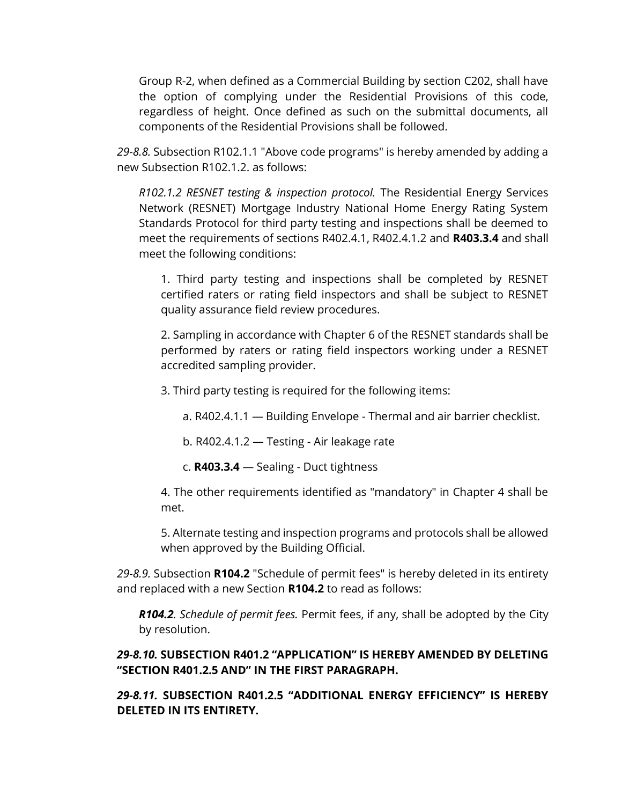Group R-2, when defined as a Commercial Building by section C202, shall have the option of complying under the Residential Provisions of this code, regardless of height. Once defined as such on the submittal documents, all components of the Residential Provisions shall be followed.

*29-8.8.* Subsection R102.1.1 "Above code programs" is hereby amended by adding a new Subsection R102.1.2. as follows:

*R102.1.2 RESNET testing & inspection protocol.* The Residential Energy Services Network (RESNET) Mortgage Industry National Home Energy Rating System Standards Protocol for third party testing and inspections shall be deemed to meet the requirements of sections R402.4.1, R402.4.1.2 and **R403.3.4** and shall meet the following conditions:

1. Third party testing and inspections shall be completed by RESNET certified raters or rating field inspectors and shall be subject to RESNET quality assurance field review procedures.

2. Sampling in accordance with Chapter 6 of the RESNET standards shall be performed by raters or rating field inspectors working under a RESNET accredited sampling provider.

3. Third party testing is required for the following items:

a. R402.4.1.1 — Building Envelope - Thermal and air barrier checklist.

b. R402.4.1.2 — Testing - Air leakage rate

c. **R403.3.4** — Sealing - Duct tightness

4. The other requirements identified as "mandatory" in Chapter 4 shall be met.

5. Alternate testing and inspection programs and protocols shall be allowed when approved by the Building Official.

*29-8.9.* Subsection **R104.2** "Schedule of permit fees" is hereby deleted in its entirety and replaced with a new Section **R104.2** to read as follows:

*R104.2. Schedule of permit fees.* Permit fees, if any, shall be adopted by the City by resolution.

### *29-8.10.* **SUBSECTION R401.2 "APPLICATION" IS HEREBY AMENDED BY DELETING "SECTION R401.2.5 AND" IN THE FIRST PARAGRAPH.**

*29-8.11.* **SUBSECTION R401.2.5 "ADDITIONAL ENERGY EFFICIENCY" IS HEREBY DELETED IN ITS ENTIRETY.**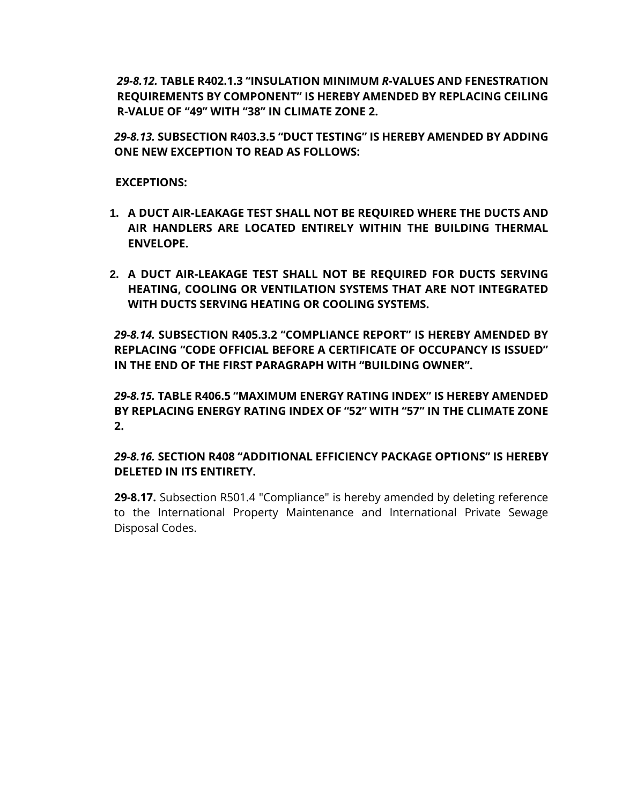*29-8.12.* **TABLE R402.1.3 "INSULATION MINIMUM** *R***-VALUES AND FENESTRATION REQUIREMENTS BY COMPONENT" IS HEREBY AMENDED BY REPLACING CEILING R-VALUE OF "49" WITH "38" IN CLIMATE ZONE 2.**

*29-8.13.* **SUBSECTION R403.3.5 "DUCT TESTING" IS HEREBY AMENDED BY ADDING ONE NEW EXCEPTION TO READ AS FOLLOWS:**

#### **EXCEPTIONS:**

- **1. A DUCT AIR-LEAKAGE TEST SHALL NOT BE REQUIRED WHERE THE DUCTS AND AIR HANDLERS ARE LOCATED ENTIRELY WITHIN THE BUILDING THERMAL ENVELOPE.**
- **2. A DUCT AIR-LEAKAGE TEST SHALL NOT BE REQUIRED FOR DUCTS SERVING HEATING, COOLING OR VENTILATION SYSTEMS THAT ARE NOT INTEGRATED WITH DUCTS SERVING HEATING OR COOLING SYSTEMS.**

*29-8.14.* **SUBSECTION R405.3.2 "COMPLIANCE REPORT" IS HEREBY AMENDED BY REPLACING "CODE OFFICIAL BEFORE A CERTIFICATE OF OCCUPANCY IS ISSUED" IN THE END OF THE FIRST PARAGRAPH WITH "BUILDING OWNER".**

*29-8.15.* **TABLE R406.5 "MAXIMUM ENERGY RATING INDEX" IS HEREBY AMENDED BY REPLACING ENERGY RATING INDEX OF "52" WITH "57" IN THE CLIMATE ZONE 2.**

*29-8.16.* **SECTION R408 "ADDITIONAL EFFICIENCY PACKAGE OPTIONS" IS HEREBY DELETED IN ITS ENTIRETY.**

**29-8.17.** Subsection R501.4 "Compliance" is hereby amended by deleting reference to the International Property Maintenance and International Private Sewage Disposal Codes.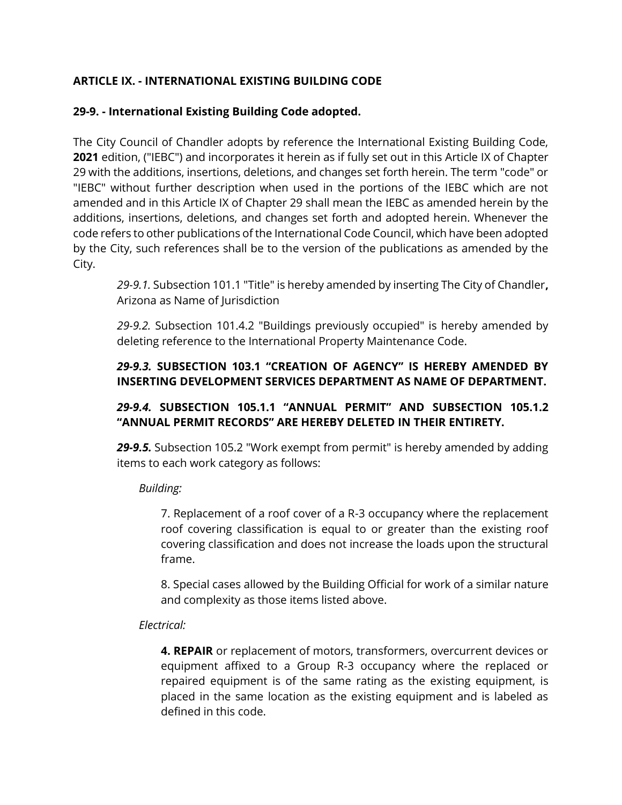## **ARTICLE IX. - INTERNATIONAL EXISTING BUILDING CODE**

## **29-9. - International Existing Building Code adopted.**

The City Council of Chandler adopts by reference the International Existing Building Code, **2021** edition, ("IEBC") and incorporates it herein as if fully set out in this Article IX of Chapter 29 with the additions, insertions, deletions, and changes set forth herein. The term "code" or "IEBC" without further description when used in the portions of the IEBC which are not amended and in this Article IX of Chapter 29 shall mean the IEBC as amended herein by the additions, insertions, deletions, and changes set forth and adopted herein. Whenever the code refers to other publications of the International Code Council, which have been adopted by the City, such references shall be to the version of the publications as amended by the City.

*29-9.1.* Subsection 101.1 "Title" is hereby amended by inserting The City of Chandler**,**  Arizona as Name of Jurisdiction

*29-9.2.* Subsection 101.4.2 "Buildings previously occupied" is hereby amended by deleting reference to the International Property Maintenance Code.

## *29-9.3.* **SUBSECTION 103.1 "CREATION OF AGENCY" IS HEREBY AMENDED BY INSERTING DEVELOPMENT SERVICES DEPARTMENT AS NAME OF DEPARTMENT.**

# *29-9.4.* **SUBSECTION 105.1.1 "ANNUAL PERMIT" AND SUBSECTION 105.1.2 "ANNUAL PERMIT RECORDS" ARE HEREBY DELETED IN THEIR ENTIRETY.**

*29-9.5.* Subsection 105.2 "Work exempt from permit" is hereby amended by adding items to each work category as follows:

## *Building:*

7. Replacement of a roof cover of a R-3 occupancy where the replacement roof covering classification is equal to or greater than the existing roof covering classification and does not increase the loads upon the structural frame.

8. Special cases allowed by the Building Official for work of a similar nature and complexity as those items listed above.

## *Electrical:*

**4. REPAIR** or replacement of motors, transformers, overcurrent devices or equipment affixed to a Group R-3 occupancy where the replaced or repaired equipment is of the same rating as the existing equipment, is placed in the same location as the existing equipment and is labeled as defined in this code.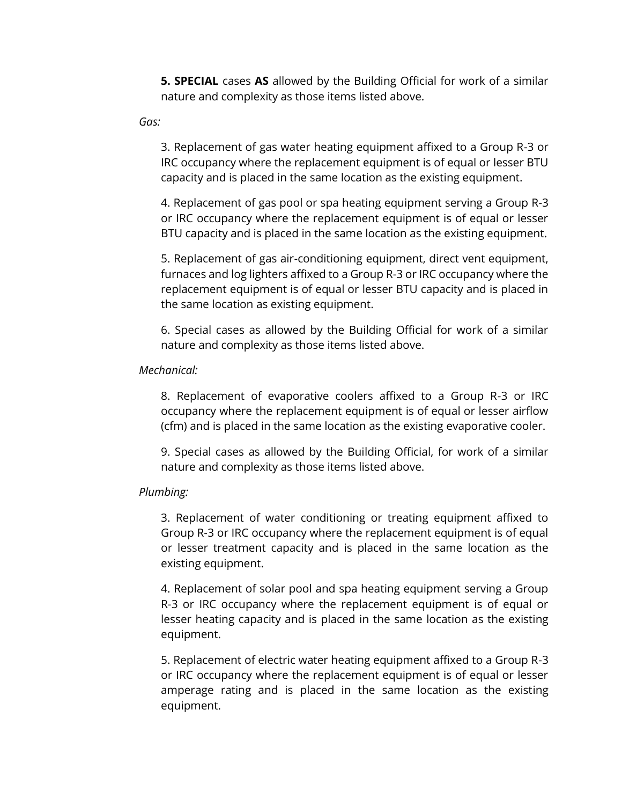**5. SPECIAL** cases **AS** allowed by the Building Official for work of a similar nature and complexity as those items listed above.

*Gas:*

3. Replacement of gas water heating equipment affixed to a Group R-3 or IRC occupancy where the replacement equipment is of equal or lesser BTU capacity and is placed in the same location as the existing equipment.

4. Replacement of gas pool or spa heating equipment serving a Group R-3 or IRC occupancy where the replacement equipment is of equal or lesser BTU capacity and is placed in the same location as the existing equipment.

5. Replacement of gas air-conditioning equipment, direct vent equipment, furnaces and log lighters affixed to a Group R-3 or IRC occupancy where the replacement equipment is of equal or lesser BTU capacity and is placed in the same location as existing equipment.

6. Special cases as allowed by the Building Official for work of a similar nature and complexity as those items listed above.

#### *Mechanical:*

8. Replacement of evaporative coolers affixed to a Group R-3 or IRC occupancy where the replacement equipment is of equal or lesser airflow (cfm) and is placed in the same location as the existing evaporative cooler.

9. Special cases as allowed by the Building Official, for work of a similar nature and complexity as those items listed above.

#### *Plumbing:*

3. Replacement of water conditioning or treating equipment affixed to Group R-3 or IRC occupancy where the replacement equipment is of equal or lesser treatment capacity and is placed in the same location as the existing equipment.

4. Replacement of solar pool and spa heating equipment serving a Group R-3 or IRC occupancy where the replacement equipment is of equal or lesser heating capacity and is placed in the same location as the existing equipment.

5. Replacement of electric water heating equipment affixed to a Group R-3 or IRC occupancy where the replacement equipment is of equal or lesser amperage rating and is placed in the same location as the existing equipment.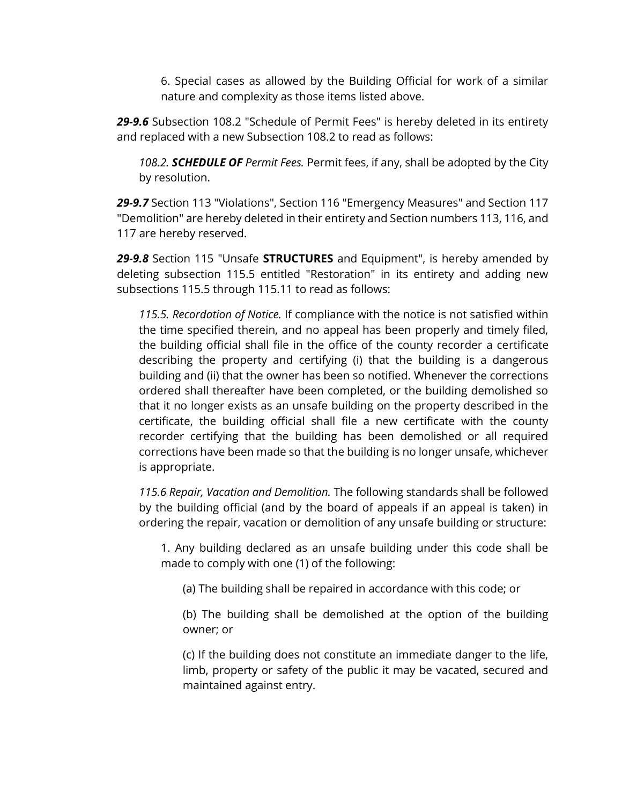6. Special cases as allowed by the Building Official for work of a similar nature and complexity as those items listed above.

*29-9.6* Subsection 108.2 "Schedule of Permit Fees" is hereby deleted in its entirety and replaced with a new Subsection 108.2 to read as follows:

*108.2. SCHEDULE OF Permit Fees.* Permit fees, if any, shall be adopted by the City by resolution.

*29-9.7* Section 113 "Violations", Section 116 "Emergency Measures" and Section 117 "Demolition" are hereby deleted in their entirety and Section numbers 113, 116, and 117 are hereby reserved.

*29-9.8* Section 115 "Unsafe **STRUCTURES** and Equipment", is hereby amended by deleting subsection 115.5 entitled "Restoration" in its entirety and adding new subsections 115.5 through 115.11 to read as follows:

*115.5. Recordation of Notice.* If compliance with the notice is not satisfied within the time specified therein, and no appeal has been properly and timely filed, the building official shall file in the office of the county recorder a certificate describing the property and certifying (i) that the building is a dangerous building and (ii) that the owner has been so notified. Whenever the corrections ordered shall thereafter have been completed, or the building demolished so that it no longer exists as an unsafe building on the property described in the certificate, the building official shall file a new certificate with the county recorder certifying that the building has been demolished or all required corrections have been made so that the building is no longer unsafe, whichever is appropriate.

*115.6 Repair, Vacation and Demolition.* The following standards shall be followed by the building official (and by the board of appeals if an appeal is taken) in ordering the repair, vacation or demolition of any unsafe building or structure:

1. Any building declared as an unsafe building under this code shall be made to comply with one (1) of the following:

(a) The building shall be repaired in accordance with this code; or

(b) The building shall be demolished at the option of the building owner; or

(c) If the building does not constitute an immediate danger to the life, limb, property or safety of the public it may be vacated, secured and maintained against entry.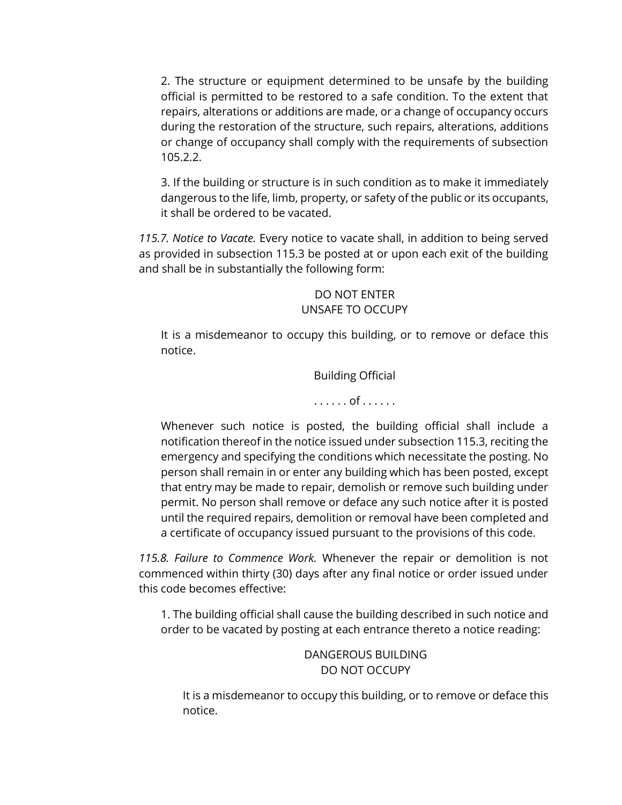2. The structure or equipment determined to be unsafe by the building official is permitted to be restored to a safe condition. To the extent that repairs, alterations or additions are made, or a change of occupancy occurs during the restoration of the structure, such repairs, alterations, additions or change of occupancy shall comply with the requirements of subsection 105.2.2.

3. If the building or structure is in such condition as to make it immediately dangerous to the life, limb, property, or safety of the public or its occupants, it shall be ordered to be vacated.

*115.7. Notice to Vacate.* Every notice to vacate shall, in addition to being served as provided in subsection 115.3 be posted at or upon each exit of the building and shall be in substantially the following form:

#### DO NOT ENTER UNSAFE TO OCCUPY

It is a misdemeanor to occupy this building, or to remove or deface this notice.

Building Official

. . . . . . of . . . . . .

Whenever such notice is posted, the building official shall include a notification thereof in the notice issued under subsection 115.3, reciting the emergency and specifying the conditions which necessitate the posting. No person shall remain in or enter any building which has been posted, except that entry may be made to repair, demolish or remove such building under permit. No person shall remove or deface any such notice after it is posted until the required repairs, demolition or removal have been completed and a certificate of occupancy issued pursuant to the provisions of this code.

*115.8. Failure to Commence Work.* Whenever the repair or demolition is not commenced within thirty (30) days after any final notice or order issued under this code becomes effective:

1. The building official shall cause the building described in such notice and order to be vacated by posting at each entrance thereto a notice reading:

> DANGEROUS BUILDING DO NOT OCCUPY

It is a misdemeanor to occupy this building, or to remove or deface this notice.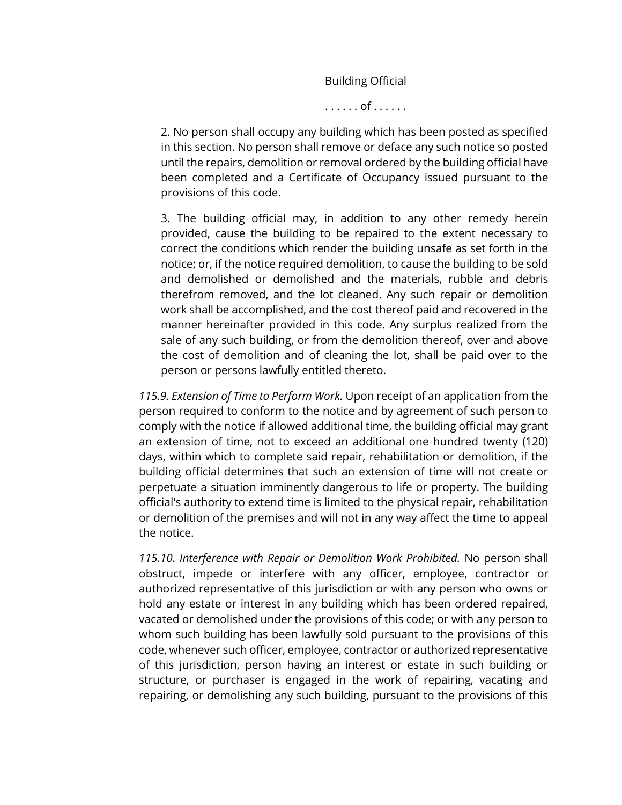Building Official

. . . . . . of . . . . . .

2. No person shall occupy any building which has been posted as specified in this section. No person shall remove or deface any such notice so posted until the repairs, demolition or removal ordered by the building official have been completed and a Certificate of Occupancy issued pursuant to the provisions of this code.

3. The building official may, in addition to any other remedy herein provided, cause the building to be repaired to the extent necessary to correct the conditions which render the building unsafe as set forth in the notice; or, if the notice required demolition, to cause the building to be sold and demolished or demolished and the materials, rubble and debris therefrom removed, and the lot cleaned. Any such repair or demolition work shall be accomplished, and the cost thereof paid and recovered in the manner hereinafter provided in this code. Any surplus realized from the sale of any such building, or from the demolition thereof, over and above the cost of demolition and of cleaning the lot, shall be paid over to the person or persons lawfully entitled thereto.

*115.9. Extension of Time to Perform Work.* Upon receipt of an application from the person required to conform to the notice and by agreement of such person to comply with the notice if allowed additional time, the building official may grant an extension of time, not to exceed an additional one hundred twenty (120) days, within which to complete said repair, rehabilitation or demolition, if the building official determines that such an extension of time will not create or perpetuate a situation imminently dangerous to life or property. The building official's authority to extend time is limited to the physical repair, rehabilitation or demolition of the premises and will not in any way affect the time to appeal the notice.

*115.10. Interference with Repair or Demolition Work Prohibited.* No person shall obstruct, impede or interfere with any officer, employee, contractor or authorized representative of this jurisdiction or with any person who owns or hold any estate or interest in any building which has been ordered repaired, vacated or demolished under the provisions of this code; or with any person to whom such building has been lawfully sold pursuant to the provisions of this code, whenever such officer, employee, contractor or authorized representative of this jurisdiction, person having an interest or estate in such building or structure, or purchaser is engaged in the work of repairing, vacating and repairing, or demolishing any such building, pursuant to the provisions of this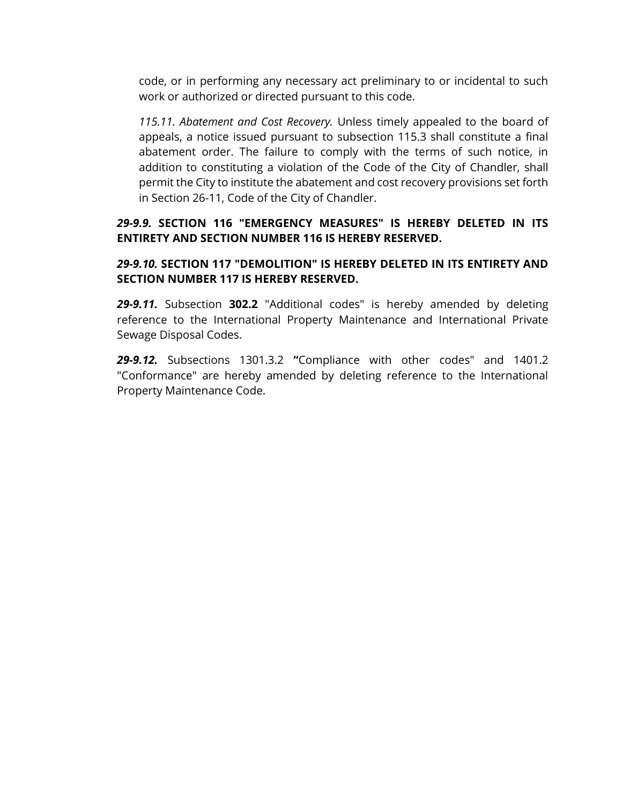code, or in performing any necessary act preliminary to or incidental to such work or authorized or directed pursuant to this code.

*115.11. Abatement and Cost Recovery.* Unless timely appealed to the board of appeals, a notice issued pursuant to subsection 115.3 shall constitute a final abatement order. The failure to comply with the terms of such notice, in addition to constituting a violation of the Code of the City of Chandler, shall permit the City to institute the abatement and cost recovery provisions set forth in Section 26-11, Code of the City of Chandler.

#### *29-9.9.* **SECTION 116 "EMERGENCY MEASURES" IS HEREBY DELETED IN ITS ENTIRETY AND SECTION NUMBER 116 IS HEREBY RESERVED.**

### *29-9.10.* **SECTION 117 "DEMOLITION" IS HEREBY DELETED IN ITS ENTIRETY AND SECTION NUMBER 117 IS HEREBY RESERVED.**

*29-9.11.* Subsection **302.2** "Additional codes" is hereby amended by deleting reference to the International Property Maintenance and International Private Sewage Disposal Codes.

*29-9.12.* Subsections 1301.3.2 **"**Compliance with other codes" and 1401.2 "Conformance" are hereby amended by deleting reference to the International Property Maintenance Code.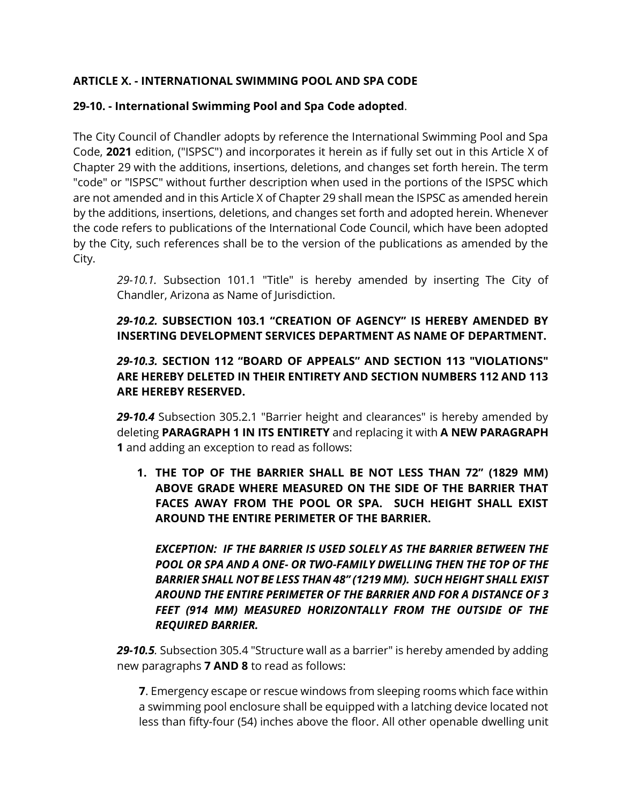## **ARTICLE X. - INTERNATIONAL SWIMMING POOL AND SPA CODE**

## **29-10. - International Swimming Pool and Spa Code adopted**.

The City Council of Chandler adopts by reference the International Swimming Pool and Spa Code, **2021** edition, ("ISPSC") and incorporates it herein as if fully set out in this Article X of Chapter 29 with the additions, insertions, deletions, and changes set forth herein. The term "code" or "ISPSC" without further description when used in the portions of the ISPSC which are not amended and in this Article X of Chapter 29 shall mean the ISPSC as amended herein by the additions, insertions, deletions, and changes set forth and adopted herein. Whenever the code refers to publications of the International Code Council, which have been adopted by the City, such references shall be to the version of the publications as amended by the City.

*29-10.1.* Subsection 101.1 "Title" is hereby amended by inserting The City of Chandler, Arizona as Name of Jurisdiction.

*29-10.2.* **SUBSECTION 103.1 "CREATION OF AGENCY" IS HEREBY AMENDED BY INSERTING DEVELOPMENT SERVICES DEPARTMENT AS NAME OF DEPARTMENT.** 

## *29-10.3.* **SECTION 112 "BOARD OF APPEALS" AND SECTION 113 "VIOLATIONS" ARE HEREBY DELETED IN THEIR ENTIRETY AND SECTION NUMBERS 112 AND 113 ARE HEREBY RESERVED.**

*29-10.4* Subsection 305.2.1 "Barrier height and clearances" is hereby amended by deleting **PARAGRAPH 1 IN ITS ENTIRETY** and replacing it with **A NEW PARAGRAPH 1** and adding an exception to read as follows:

**1. THE TOP OF THE BARRIER SHALL BE NOT LESS THAN 72" (1829 MM) ABOVE GRADE WHERE MEASURED ON THE SIDE OF THE BARRIER THAT FACES AWAY FROM THE POOL OR SPA. SUCH HEIGHT SHALL EXIST AROUND THE ENTIRE PERIMETER OF THE BARRIER.**

*EXCEPTION: IF THE BARRIER IS USED SOLELY AS THE BARRIER BETWEEN THE POOL OR SPA AND A ONE- OR TWO-FAMILY DWELLING THEN THE TOP OF THE BARRIER SHALL NOT BE LESS THAN 48" (1219 MM). SUCH HEIGHT SHALL EXIST AROUND THE ENTIRE PERIMETER OF THE BARRIER AND FOR A DISTANCE OF 3 FEET (914 MM) MEASURED HORIZONTALLY FROM THE OUTSIDE OF THE REQUIRED BARRIER.*

*29-10.5.* Subsection 305.4 "Structure wall as a barrier" is hereby amended by adding new paragraphs **7 AND 8** to read as follows:

**7**. Emergency escape or rescue windows from sleeping rooms which face within a swimming pool enclosure shall be equipped with a latching device located not less than fifty-four (54) inches above the floor. All other openable dwelling unit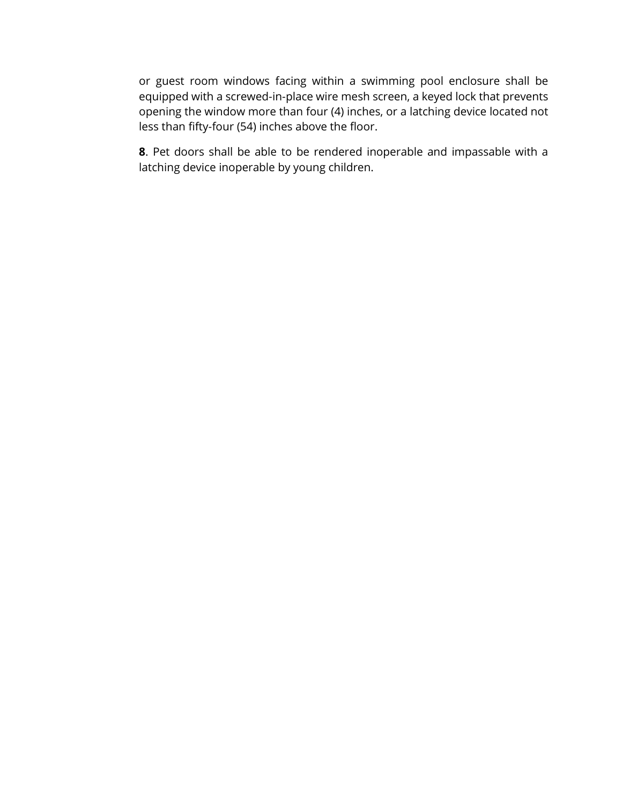or guest room windows facing within a swimming pool enclosure shall be equipped with a screwed-in-place wire mesh screen, a keyed lock that prevents opening the window more than four (4) inches, or a latching device located not less than fifty-four (54) inches above the floor.

**8**. Pet doors shall be able to be rendered inoperable and impassable with a latching device inoperable by young children.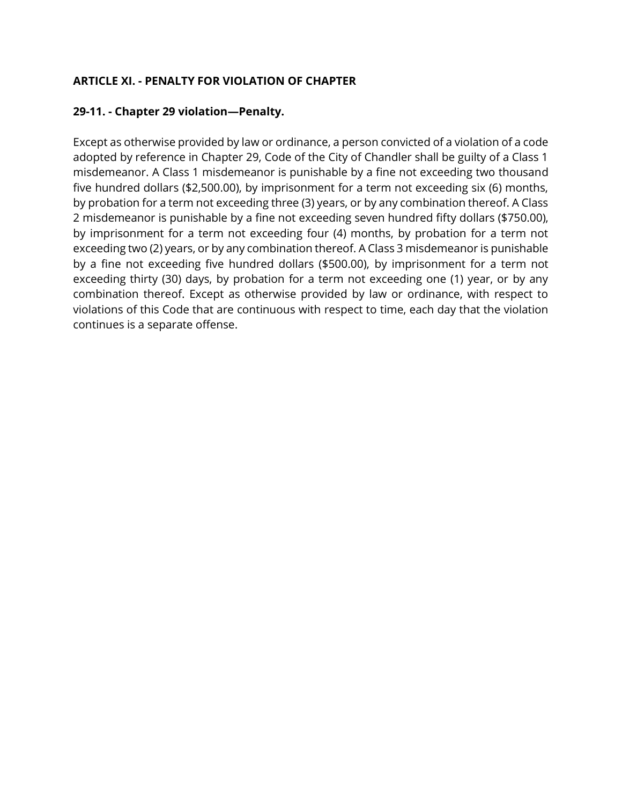### **ARTICLE XI. - PENALTY FOR VIOLATION OF CHAPTER**

#### **29-11. - Chapter 29 violation—Penalty.**

Except as otherwise provided by law or ordinance, a person convicted of a violation of a code adopted by reference in Chapter 29, Code of the City of Chandler shall be guilty of a Class 1 misdemeanor. A Class 1 misdemeanor is punishable by a fine not exceeding two thousand five hundred dollars (\$2,500.00), by imprisonment for a term not exceeding six (6) months, by probation for a term not exceeding three (3) years, or by any combination thereof. A Class 2 misdemeanor is punishable by a fine not exceeding seven hundred fifty dollars (\$750.00), by imprisonment for a term not exceeding four (4) months, by probation for a term not exceeding two (2) years, or by any combination thereof. A Class 3 misdemeanor is punishable by a fine not exceeding five hundred dollars (\$500.00), by imprisonment for a term not exceeding thirty (30) days, by probation for a term not exceeding one (1) year, or by any combination thereof. Except as otherwise provided by law or ordinance, with respect to violations of this Code that are continuous with respect to time, each day that the violation continues is a separate offense.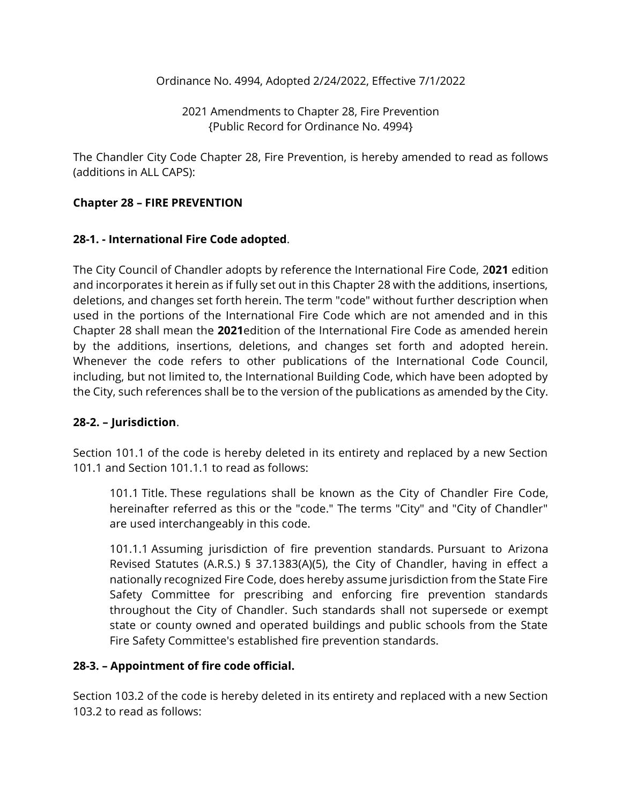Ordinance No. 4994, Adopted 2/24/2022, Effective 7/1/2022

2021 Amendments to Chapter 28, Fire Prevention {Public Record for Ordinance No. 4994}

The Chandler City Code Chapter 28, Fire Prevention, is hereby amended to read as follows (additions in ALL CAPS):

### **Chapter 28 – FIRE PREVENTION**

### **28-1. - International Fire Code adopted**.

The City Council of Chandler adopts by reference the International Fire Code, 2**021** edition and incorporates it herein as if fully set out in this Chapter 28 with the additions, insertions, deletions, and changes set forth herein. The term "code" without further description when used in the portions of the International Fire Code which are not amended and in this Chapter 28 shall mean the **2021**edition of the International Fire Code as amended herein by the additions, insertions, deletions, and changes set forth and adopted herein. Whenever the code refers to other publications of the International Code Council, including, but not limited to, the International Building Code, which have been adopted by the City, such references shall be to the version of the publications as amended by the City.

#### **28-2. – Jurisdiction**.

Section 101.1 of the code is hereby deleted in its entirety and replaced by a new Section 101.1 and Section 101.1.1 to read as follows:

101.1 Title. These regulations shall be known as the City of Chandler Fire Code, hereinafter referred as this or the "code." The terms "City" and "City of Chandler" are used interchangeably in this code.

101.1.1 Assuming jurisdiction of fire prevention standards. Pursuant to Arizona Revised Statutes (A.R.S.) § 37.1383(A)(5), the City of Chandler, having in effect a nationally recognized Fire Code, does hereby assume jurisdiction from the State Fire Safety Committee for prescribing and enforcing fire prevention standards throughout the City of Chandler. Such standards shall not supersede or exempt state or county owned and operated buildings and public schools from the State Fire Safety Committee's established fire prevention standards.

#### **28-3. – Appointment of fire code official.**

Section 103.2 of the code is hereby deleted in its entirety and replaced with a new Section 103.2 to read as follows: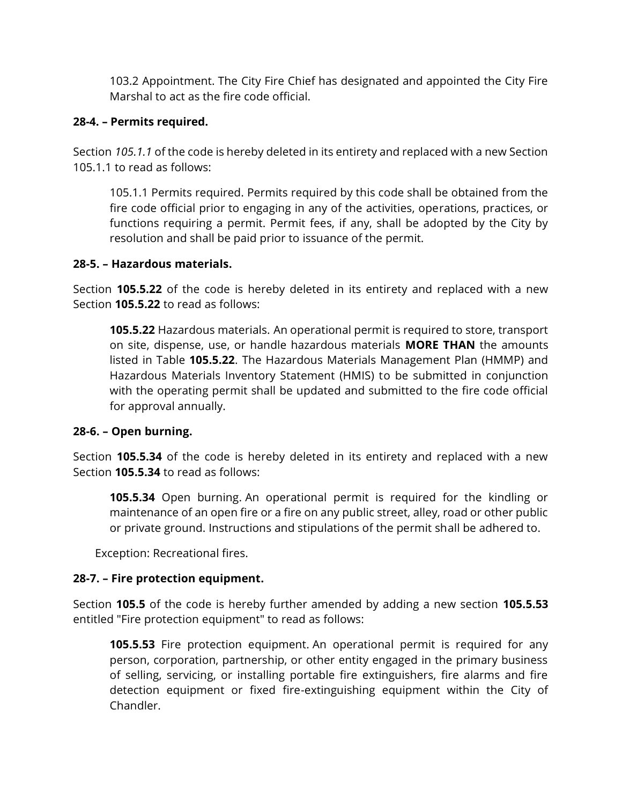103.2 Appointment. The City Fire Chief has designated and appointed the City Fire Marshal to act as the fire code official.

### **28-4. – Permits required.**

Section *105.1.1* of the code is hereby deleted in its entirety and replaced with a new Section 105.1.1 to read as follows:

105.1.1 Permits required. Permits required by this code shall be obtained from the fire code official prior to engaging in any of the activities, operations, practices, or functions requiring a permit. Permit fees, if any, shall be adopted by the City by resolution and shall be paid prior to issuance of the permit.

#### **28-5. – Hazardous materials.**

Section **105.5.22** of the code is hereby deleted in its entirety and replaced with a new Section **105.5.22** to read as follows:

**105.5.22** Hazardous materials. An operational permit is required to store, transport on site, dispense, use, or handle hazardous materials **MORE THAN** the amounts listed in Table **105.5.22**. The Hazardous Materials Management Plan (HMMP) and Hazardous Materials Inventory Statement (HMIS) to be submitted in conjunction with the operating permit shall be updated and submitted to the fire code official for approval annually.

## **28-6. – Open burning.**

Section **105.5.34** of the code is hereby deleted in its entirety and replaced with a new Section **105.5.34** to read as follows:

**105.5.34** Open burning. An operational permit is required for the kindling or maintenance of an open fire or a fire on any public street, alley, road or other public or private ground. Instructions and stipulations of the permit shall be adhered to.

Exception: Recreational fires.

## **28-7. – Fire protection equipment.**

Section **105.5** of the code is hereby further amended by adding a new section **105.5.53**  entitled "Fire protection equipment" to read as follows:

**105.5.53** Fire protection equipment. An operational permit is required for any person, corporation, partnership, or other entity engaged in the primary business of selling, servicing, or installing portable fire extinguishers, fire alarms and fire detection equipment or fixed fire-extinguishing equipment within the City of Chandler.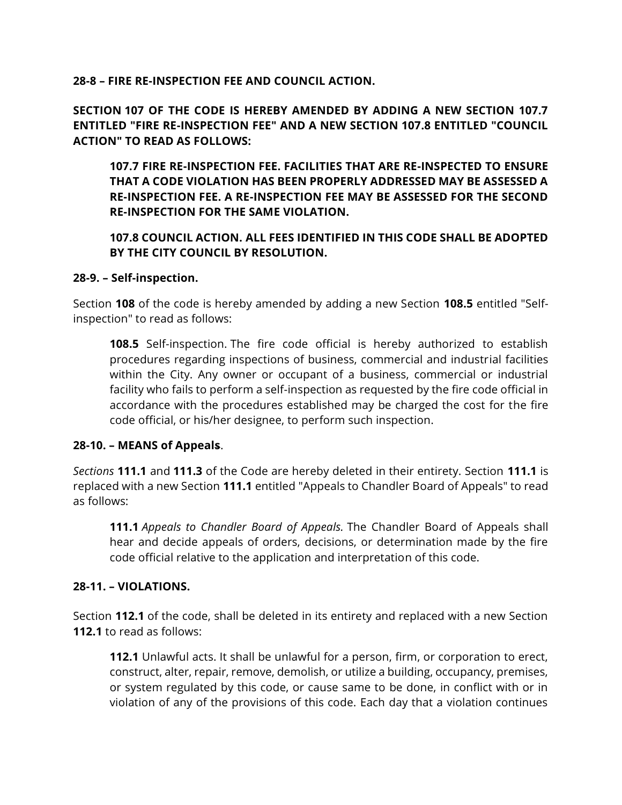**28-8 – FIRE RE-INSPECTION FEE AND COUNCIL ACTION.** 

**SECTION 107 OF THE CODE IS HEREBY AMENDED BY ADDING A NEW SECTION 107.7 ENTITLED "FIRE RE-INSPECTION FEE" AND A NEW SECTION 107.8 ENTITLED "COUNCIL ACTION" TO READ AS FOLLOWS:**

**107.7 FIRE RE-INSPECTION FEE. FACILITIES THAT ARE RE-INSPECTED TO ENSURE THAT A CODE VIOLATION HAS BEEN PROPERLY ADDRESSED MAY BE ASSESSED A RE-INSPECTION FEE. A RE-INSPECTION FEE MAY BE ASSESSED FOR THE SECOND RE-INSPECTION FOR THE SAME VIOLATION.**

**107.8 COUNCIL ACTION. ALL FEES IDENTIFIED IN THIS CODE SHALL BE ADOPTED BY THE CITY COUNCIL BY RESOLUTION.**

#### **28-9. – Self-inspection.**

Section **108** of the code is hereby amended by adding a new Section **108.5** entitled "Selfinspection" to read as follows:

**108.5** Self-inspection. The fire code official is hereby authorized to establish procedures regarding inspections of business, commercial and industrial facilities within the City. Any owner or occupant of a business, commercial or industrial facility who fails to perform a self-inspection as requested by the fire code official in accordance with the procedures established may be charged the cost for the fire code official, or his/her designee, to perform such inspection.

#### **28-10. – MEANS of Appeals**.

*Sections* **111.1** and **111.3** of the Code are hereby deleted in their entirety. Section **111.1** is replaced with a new Section **111.1** entitled "Appeals to Chandler Board of Appeals" to read as follows:

**111.1** *Appeals to Chandler Board of Appeals.* The Chandler Board of Appeals shall hear and decide appeals of orders, decisions, or determination made by the fire code official relative to the application and interpretation of this code.

#### **28-11. – VIOLATIONS.**

Section **112.1** of the code, shall be deleted in its entirety and replaced with a new Section **112.1** to read as follows:

**112.1** Unlawful acts. It shall be unlawful for a person, firm, or corporation to erect, construct, alter, repair, remove, demolish, or utilize a building, occupancy, premises, or system regulated by this code, or cause same to be done, in conflict with or in violation of any of the provisions of this code. Each day that a violation continues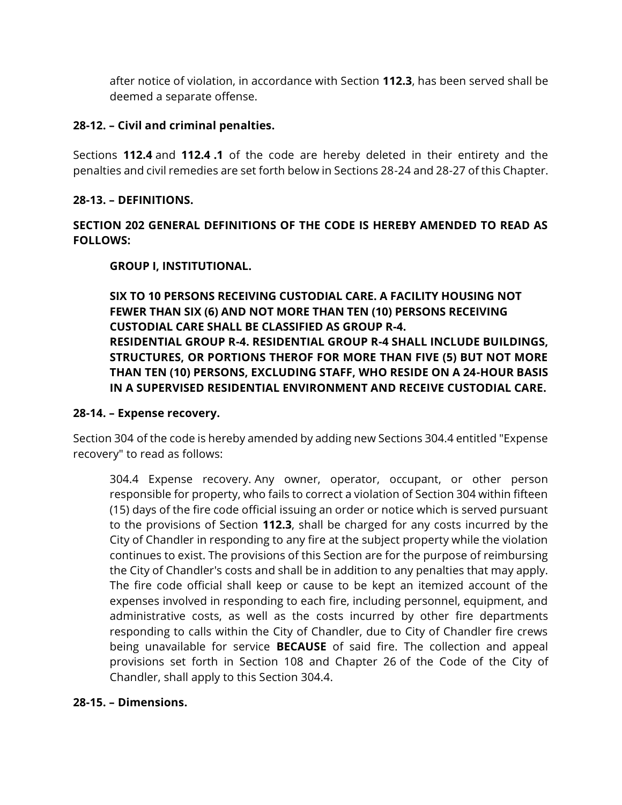after notice of violation, in accordance with Section **112.3**, has been served shall be deemed a separate offense.

#### **28-12. – Civil and criminal penalties.**

Sections **112.4** and **112.4 .1** of the code are hereby deleted in their entirety and the penalties and civil remedies are set forth below in Sections 28-24 and 28-27 of this Chapter.

### **28-13. – DEFINITIONS.**

## **SECTION 202 GENERAL DEFINITIONS OF THE CODE IS HEREBY AMENDED TO READ AS FOLLOWS:**

## **GROUP I, INSTITUTIONAL.**

**SIX TO 10 PERSONS RECEIVING CUSTODIAL CARE. A FACILITY HOUSING NOT FEWER THAN SIX (6) AND NOT MORE THAN TEN (10) PERSONS RECEIVING CUSTODIAL CARE SHALL BE CLASSIFIED AS GROUP R-4. RESIDENTIAL GROUP R-4. RESIDENTIAL GROUP R-4 SHALL INCLUDE BUILDINGS, STRUCTURES, OR PORTIONS THEROF FOR MORE THAN FIVE (5) BUT NOT MORE THAN TEN (10) PERSONS, EXCLUDING STAFF, WHO RESIDE ON A 24-HOUR BASIS IN A SUPERVISED RESIDENTIAL ENVIRONMENT AND RECEIVE CUSTODIAL CARE.** 

#### **28-14. – Expense recovery.**

Section 304 of the code is hereby amended by adding new Sections 304.4 entitled "Expense recovery" to read as follows:

304.4 Expense recovery. Any owner, operator, occupant, or other person responsible for property, who fails to correct a violation of Section 304 within fifteen (15) days of the fire code official issuing an order or notice which is served pursuant to the provisions of Section **112.3**, shall be charged for any costs incurred by the City of Chandler in responding to any fire at the subject property while the violation continues to exist. The provisions of this Section are for the purpose of reimbursing the City of Chandler's costs and shall be in addition to any penalties that may apply. The fire code official shall keep or cause to be kept an itemized account of the expenses involved in responding to each fire, including personnel, equipment, and administrative costs, as well as the costs incurred by other fire departments responding to calls within the City of Chandler, due to City of Chandler fire crews being unavailable for service **BECAUSE** of said fire. The collection and appeal provisions set forth in Section 108 and Chapter 26 of the Code of the City of Chandler, shall apply to this Section 304.4.

#### **28-15. – Dimensions.**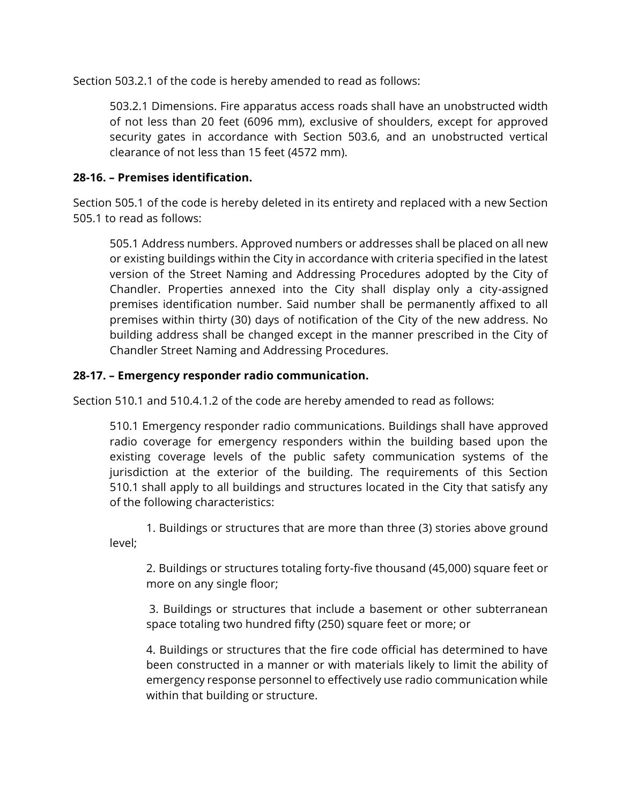Section 503.2.1 of the code is hereby amended to read as follows:

503.2.1 Dimensions. Fire apparatus access roads shall have an unobstructed width of not less than 20 feet (6096 mm), exclusive of shoulders, except for approved security gates in accordance with Section 503.6, and an unobstructed vertical clearance of not less than 15 feet (4572 mm).

## **28-16. – Premises identification.**

Section 505.1 of the code is hereby deleted in its entirety and replaced with a new Section 505.1 to read as follows:

505.1 Address numbers. Approved numbers or addresses shall be placed on all new or existing buildings within the City in accordance with criteria specified in the latest version of the Street Naming and Addressing Procedures adopted by the City of Chandler. Properties annexed into the City shall display only a city-assigned premises identification number. Said number shall be permanently affixed to all premises within thirty (30) days of notification of the City of the new address. No building address shall be changed except in the manner prescribed in the City of Chandler Street Naming and Addressing Procedures.

## **28-17. – Emergency responder radio communication.**

Section 510.1 and 510.4.1.2 of the code are hereby amended to read as follows:

510.1 Emergency responder radio communications. Buildings shall have approved radio coverage for emergency responders within the building based upon the existing coverage levels of the public safety communication systems of the jurisdiction at the exterior of the building. The requirements of this Section 510.1 shall apply to all buildings and structures located in the City that satisfy any of the following characteristics:

1. Buildings or structures that are more than three (3) stories above ground level;

2. Buildings or structures totaling forty-five thousand (45,000) square feet or more on any single floor;

[3.](https://library.municode.com/az/chandler/codes/code_of_ordinances?nodeId=PTIGEOP_CH3MASEDEINPR) Buildings or structures that include a basement or other subterranean space totaling two hundred fifty (250) square feet or more; or

4. Buildings or structures that the fire code official has determined to have been constructed in a manner or with materials likely to limit the ability of emergency response personnel to effectively use radio communication while within that building or structure.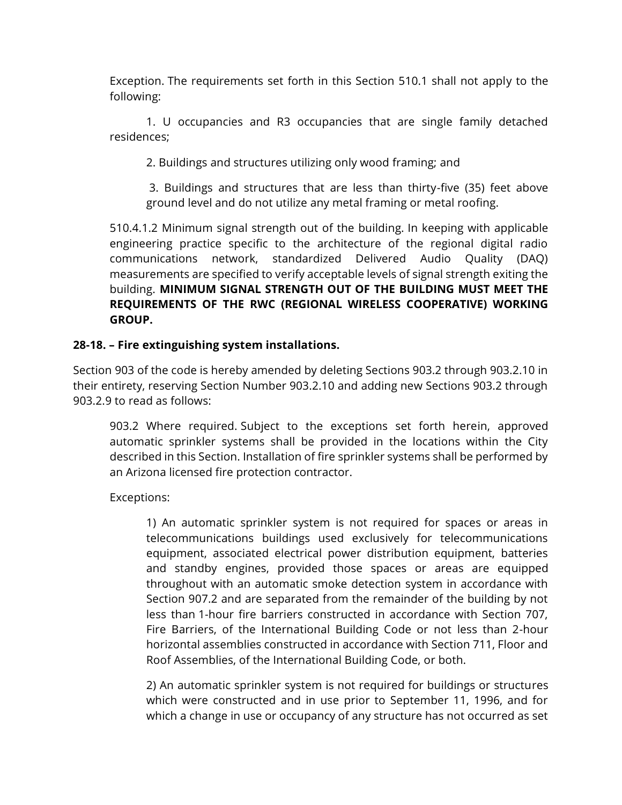Exception. The requirements set forth in this Section 510.1 shall not apply to the following:

1. U occupancies and R3 occupancies that are single family detached residences;

2. Buildings and structures utilizing only wood framing; and

[3.](https://library.municode.com/az/chandler/codes/code_of_ordinances?nodeId=PTIGEOP_CH3MASEDEINPR) Buildings and structures that are less than thirty-five (35) feet above ground level and do not utilize any metal framing or metal roofing.

510.4.1.2 Minimum signal strength out of the building. In keeping with applicable engineering practice specific to the architecture of the regional digital radio communications network, standardized Delivered Audio Quality (DAQ) measurements are specified to verify acceptable levels of signal strength exiting the building. **MINIMUM SIGNAL STRENGTH OUT OF THE BUILDING MUST MEET THE REQUIREMENTS OF THE RWC (REGIONAL WIRELESS COOPERATIVE) WORKING GROUP.**

### **28-18. – Fire extinguishing system installations.**

Section 903 of the code is hereby amended by deleting Sections 903.2 through 903.2.10 in their entirety, reserving Section Number 903.2.10 and adding new Sections 903.2 through 903.2.9 to read as follows:

903.2 Where required. Subject to the exceptions set forth herein, approved automatic sprinkler systems shall be provided in the locations within the City described in this Section. Installation of fire sprinkler systems shall be performed by an Arizona licensed fire protection contractor.

Exceptions:

1) An automatic sprinkler system is not required for spaces or areas in telecommunications buildings used exclusively for telecommunications equipment, associated electrical power distribution equipment, batteries and standby engines, provided those spaces or areas are equipped throughout with an automatic smoke detection system in accordance with Section 907.2 and are separated from the remainder of the building by not less than 1-hour fire barriers constructed in accordance with Section 707, Fire Barriers, of the International Building Code or not less than 2-hour horizontal assemblies constructed in accordance with Section 711, Floor and Roof Assemblies, of the International Building Code, or both.

2) An automatic sprinkler system is not required for buildings or structures which were constructed and in use prior to September 11, 1996, and for which a change in use or occupancy of any structure has not occurred as set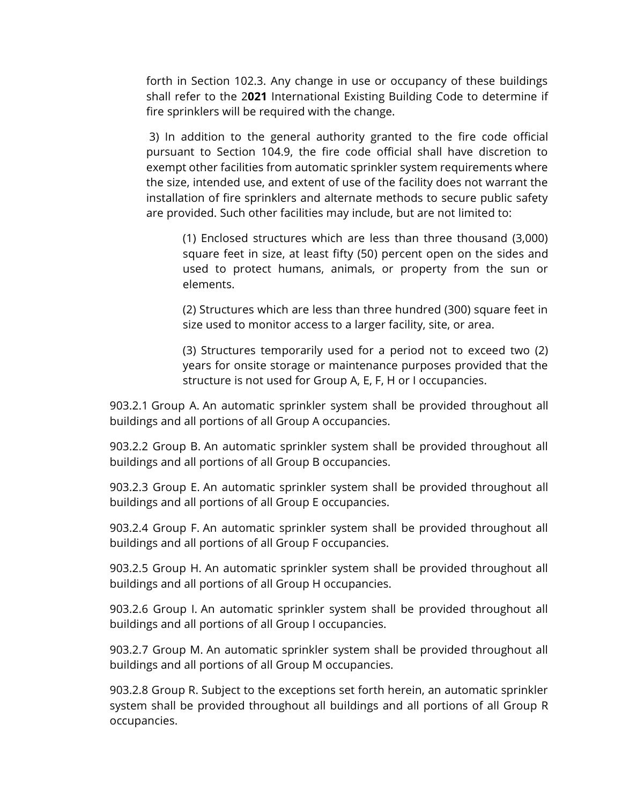forth in Section 102.3. Any change in use or occupancy of these buildings shall refer to the 2**021** International Existing Building Code to determine if fire sprinklers will be required with the change.

[3\)](https://library.municode.com/az/chandler/codes/code_of_ordinances?nodeId=PTIGEOP_CH3MASEDEINPR) In addition to the general authority granted to the fire code official pursuant to Section 104.9, the fire code official shall have discretion to exempt other facilities from automatic sprinkler system requirements where the size, intended use, and extent of use of the facility does not warrant the installation of fire sprinklers and alternate methods to secure public safety are provided. Such other facilities may include, but are not limited to:

(1) Enclosed structures which are less than three thousand (3,000) square feet in size, at least fifty (50) percent open on the sides and used to protect humans, animals, or property from the sun or elements.

(2) Structures which are less than three hundred (300) square feet in size used to monitor access to a larger facility, site, or area.

(3) Structures temporarily used for a period not to exceed two (2) years for onsite storage or maintenance purposes provided that the structure is not used for Group A, E, F, H or I occupancies.

903.2.1 Group A. An automatic sprinkler system shall be provided throughout all buildings and all portions of all Group A occupancies.

903.2.2 Group B. An automatic sprinkler system shall be provided throughout all buildings and all portions of all Group B occupancies.

903.2.3 Group E. An automatic sprinkler system shall be provided throughout all buildings and all portions of all Group E occupancies.

903.2.4 Group F. An automatic sprinkler system shall be provided throughout all buildings and all portions of all Group F occupancies.

903.2.5 Group H. An automatic sprinkler system shall be provided throughout all buildings and all portions of all Group H occupancies.

903.2.6 Group I. An automatic sprinkler system shall be provided throughout all buildings and all portions of all Group I occupancies.

903.2.7 Group M. An automatic sprinkler system shall be provided throughout all buildings and all portions of all Group M occupancies.

903.2.8 Group R. Subject to the exceptions set forth herein, an automatic sprinkler system shall be provided throughout all buildings and all portions of all Group R occupancies.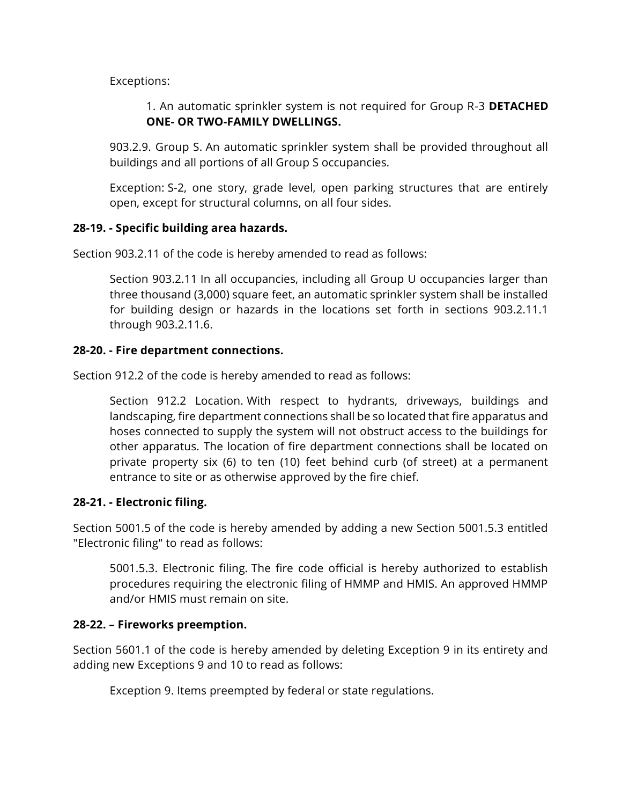Exceptions:

1. An automatic sprinkler system is not required for Group R-3 **DETACHED ONE- OR TWO-FAMILY DWELLINGS.**

903.2.9. Group S. An automatic sprinkler system shall be provided throughout all buildings and all portions of all Group S occupancies.

Exception: S-2, one story, grade level, open parking structures that are entirely open, except for structural columns, on all four sides.

### **28-19. - Specific building area hazards.**

Section 903.2.11 of the code is hereby amended to read as follows:

Section 903.2.11 In all occupancies, including all Group U occupancies larger than three thousand (3,000) square feet, an automatic sprinkler system shall be installed for building design or hazards in the locations set forth in sections 903.2.11.1 through 903.2.11.6.

### **28-20. - Fire department connections.**

Section 912.2 of the code is hereby amended to read as follows:

Section 912.2 Location. With respect to hydrants, driveways, buildings and landscaping, fire department connections shall be so located that fire apparatus and hoses connected to supply the system will not obstruct access to the buildings for other apparatus. The location of fire department connections shall be located on private property six (6) to ten (10) feet behind curb (of street) at a permanent entrance to site or as otherwise approved by the fire chief.

#### **28-21. - Electronic filing.**

Section 5001.5 of the code is hereby amended by adding a new Section 5001.5.3 entitled "Electronic filing" to read as follows:

5001.5.3. Electronic filing. The fire code official is hereby authorized to establish procedures requiring the electronic filing of HMMP and HMIS. An approved HMMP and/or HMIS must remain on site.

## **28-22. – Fireworks preemption.**

Section 5601.1 of the code is hereby amended by deleting Exception 9 in its entirety and adding new Exceptions 9 and 10 to read as follows:

Exception 9. Items preempted by federal or state regulations.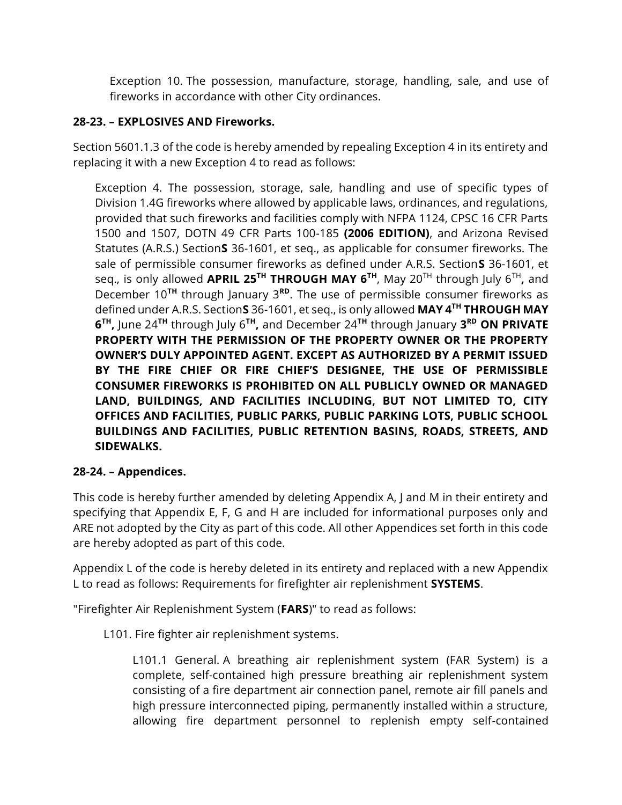Exception 10. The possession, manufacture, storage, handling, sale, and use of fireworks in accordance with other City ordinances.

# **28-23. – EXPLOSIVES AND Fireworks.**

Section 5601.1.3 of the code is hereby amended by repealing Exception 4 in its entirety and replacing it with a new Exception 4 to read as follows:

Exception 4. The possession, storage, sale, handling and use of specific types of Division 1.4G fireworks where allowed by applicable laws, ordinances, and regulations, provided that such fireworks and facilities comply with NFPA 1124, CPSC 16 CFR Parts 1500 and 1507, DOTN 49 CFR Parts 100-185 **(2006 EDITION)**, and Arizona Revised Statutes (A.R.S.) Section**S** 36-1601, et seq., as applicable for consumer fireworks. The sale of permissible consumer fireworks as defined under A.R.S. Section**S** 36-1601, et seq., is only allowed **APRIL 25TH THROUGH MAY 6TH**, May 20TH through July 6TH **,** and December 10**TH** through January 3**RD**. The use of permissible consumer fireworks as defined under A.R.S. Section**S** 36-1601, et seq., is only allowed **MAY 4TH THROUGH MAY 6 TH ,** June 24**TH** through July 6**TH ,** and December 24**TH** through January **3 RD ON PRIVATE PROPERTY WITH THE PERMISSION OF THE PROPERTY OWNER OR THE PROPERTY OWNER'S DULY APPOINTED AGENT. EXCEPT AS AUTHORIZED BY A PERMIT ISSUED BY THE FIRE CHIEF OR FIRE CHIEF'S DESIGNEE, THE USE OF PERMISSIBLE CONSUMER FIREWORKS IS PROHIBITED ON ALL PUBLICLY OWNED OR MANAGED LAND, BUILDINGS, AND FACILITIES INCLUDING, BUT NOT LIMITED TO, CITY OFFICES AND FACILITIES, PUBLIC PARKS, PUBLIC PARKING LOTS, PUBLIC SCHOOL BUILDINGS AND FACILITIES, PUBLIC RETENTION BASINS, ROADS, STREETS, AND SIDEWALKS.** 

# **28-24. – Appendices.**

This code is hereby further amended by deleting Appendix A, J and M in their entirety and specifying that Appendix E, F, G and H are included for informational purposes only and ARE not adopted by the City as part of this code. All other Appendices set forth in this code are hereby adopted as part of this code.

Appendix L of the code is hereby deleted in its entirety and replaced with a new Appendix L to read as follows: Requirements for firefighter air replenishment **SYSTEMS**.

"Firefighter Air Replenishment System (**FARS**)" to read as follows:

L101. Fire fighter air replenishment systems.

L101.1 General. A breathing air replenishment system (FAR System) is a complete, self-contained high pressure breathing air replenishment system consisting of a fire department air connection panel, remote air fill panels and high pressure interconnected piping, permanently installed within a structure, allowing fire department personnel to replenish empty self-contained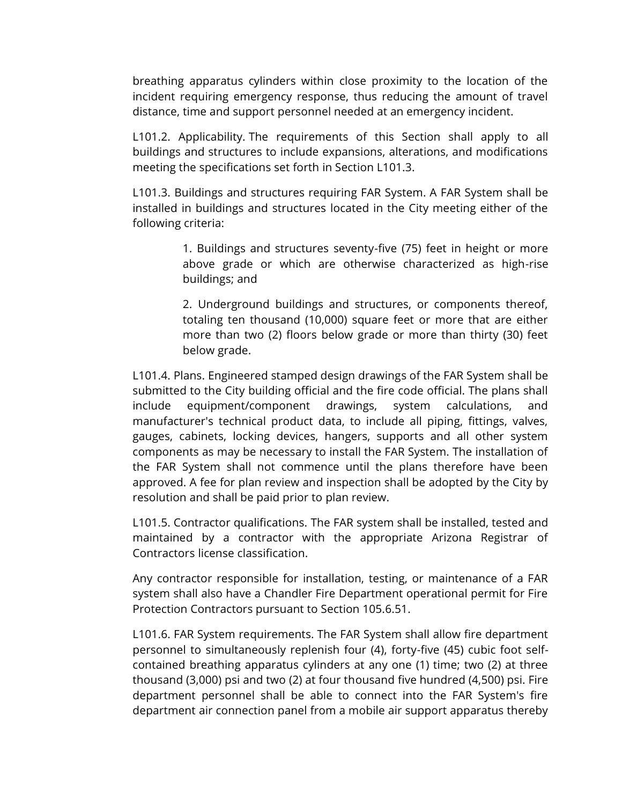breathing apparatus cylinders within close proximity to the location of the incident requiring emergency response, thus reducing the amount of travel distance, time and support personnel needed at an emergency incident.

L101.2. Applicability. The requirements of this Section shall apply to all buildings and structures to include expansions, alterations, and modifications meeting the specifications set forth in Section L101.3.

L101.3. Buildings and structures requiring FAR System. A FAR System shall be installed in buildings and structures located in the City meeting either of the following criteria:

> 1. Buildings and structures seventy-five (75) feet in height or more above grade or which are otherwise characterized as high-rise buildings; and

> 2. Underground buildings and structures, or components thereof, totaling ten thousand (10,000) square feet or more that are either more than two (2) floors below grade or more than thirty (30) feet below grade.

L101.4. Plans. Engineered stamped design drawings of the FAR System shall be submitted to the City building official and the fire code official. The plans shall include equipment/component drawings, system calculations, and manufacturer's technical product data, to include all piping, fittings, valves, gauges, cabinets, locking devices, hangers, supports and all other system components as may be necessary to install the FAR System. The installation of the FAR System shall not commence until the plans therefore have been approved. A fee for plan review and inspection shall be adopted by the City by resolution and shall be paid prior to plan review.

L101.5. Contractor qualifications. The FAR system shall be installed, tested and maintained by a contractor with the appropriate Arizona Registrar of Contractors license classification.

Any contractor responsible for installation, testing, or maintenance of a FAR system shall also have a Chandler Fire Department operational permit for Fire Protection Contractors pursuant to Section 105.6.51.

L101.6. FAR System requirements. The FAR System shall allow fire department personnel to simultaneously replenish four (4), forty-five (45) cubic foot selfcontained breathing apparatus cylinders at any one (1) time; two (2) at three thousand (3,000) psi and two (2) at four thousand five hundred (4,500) psi. Fire department personnel shall be able to connect into the FAR System's fire department air connection panel from a mobile air support apparatus thereby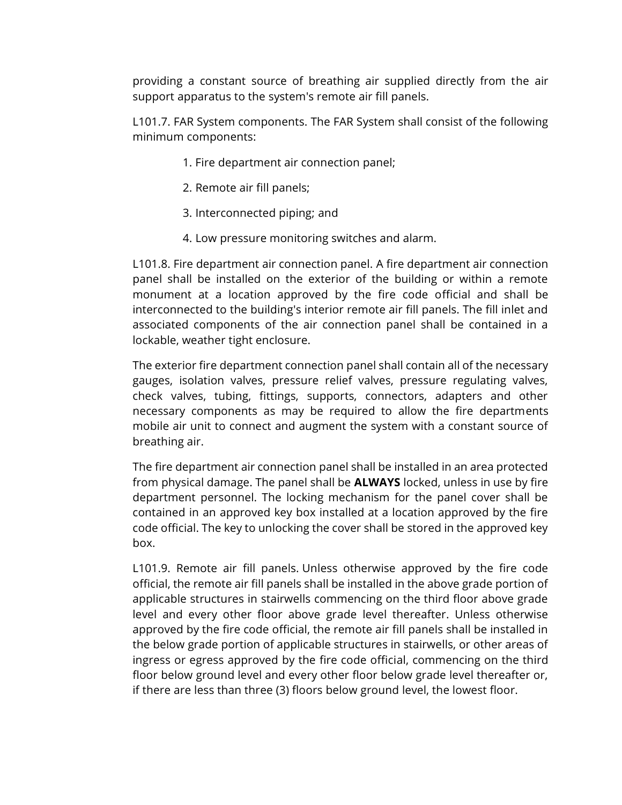providing a constant source of breathing air supplied directly from the air support apparatus to the system's remote air fill panels.

L101.7. FAR System components. The FAR System shall consist of the following minimum components:

- 1. Fire department air connection panel;
- 2. Remote air fill panels;
- 3. Interconnected piping; and
- 4. Low pressure monitoring switches and alarm.

L101.8. Fire department air connection panel. A fire department air connection panel shall be installed on the exterior of the building or within a remote monument at a location approved by the fire code official and shall be interconnected to the building's interior remote air fill panels. The fill inlet and associated components of the air connection panel shall be contained in a lockable, weather tight enclosure.

The exterior fire department connection panel shall contain all of the necessary gauges, isolation valves, pressure relief valves, pressure regulating valves, check valves, tubing, fittings, supports, connectors, adapters and other necessary components as may be required to allow the fire departments mobile air unit to connect and augment the system with a constant source of breathing air.

The fire department air connection panel shall be installed in an area protected from physical damage. The panel shall be **ALWAYS** locked, unless in use by fire department personnel. The locking mechanism for the panel cover shall be contained in an approved key box installed at a location approved by the fire code official. The key to unlocking the cover shall be stored in the approved key box.

L101.9. Remote air fill panels. Unless otherwise approved by the fire code official, the remote air fill panels shall be installed in the above grade portion of applicable structures in stairwells commencing on the third floor above grade level and every other floor above grade level thereafter. Unless otherwise approved by the fire code official, the remote air fill panels shall be installed in the below grade portion of applicable structures in stairwells, or other areas of ingress or egress approved by the fire code official, commencing on the third floor below ground level and every other floor below grade level thereafter or, if there are less than three (3) floors below ground level, the lowest floor.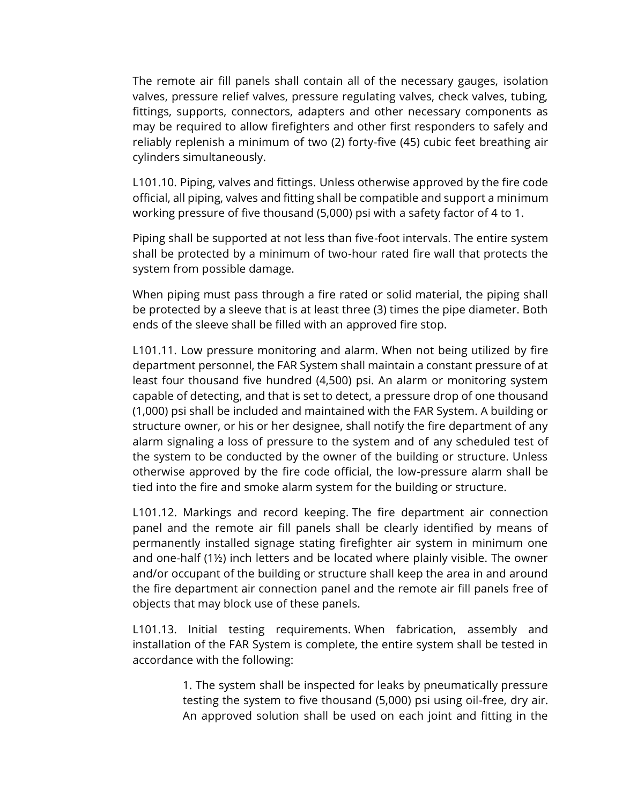The remote air fill panels shall contain all of the necessary gauges, isolation valves, pressure relief valves, pressure regulating valves, check valves, tubing, fittings, supports, connectors, adapters and other necessary components as may be required to allow firefighters and other first responders to safely and reliably replenish a minimum of two (2) forty-five (45) cubic feet breathing air cylinders simultaneously.

L101.10. Piping, valves and fittings. Unless otherwise approved by the fire code official, all piping, valves and fitting shall be compatible and support a minimum working pressure of five thousand (5,000) psi with a safety factor of 4 to 1.

Piping shall be supported at not less than five-foot intervals. The entire system shall be protected by a minimum of two-hour rated fire wall that protects the system from possible damage.

When piping must pass through a fire rated or solid material, the piping shall be protected by a sleeve that is at least three (3) times the pipe diameter. Both ends of the sleeve shall be filled with an approved fire stop.

L101.11. Low pressure monitoring and alarm. When not being utilized by fire department personnel, the FAR System shall maintain a constant pressure of at least four thousand five hundred (4,500) psi. An alarm or monitoring system capable of detecting, and that is set to detect, a pressure drop of one thousand (1,000) psi shall be included and maintained with the FAR System. A building or structure owner, or his or her designee, shall notify the fire department of any alarm signaling a loss of pressure to the system and of any scheduled test of the system to be conducted by the owner of the building or structure. Unless otherwise approved by the fire code official, the low-pressure alarm shall be tied into the fire and smoke alarm system for the building or structure.

L101.12. Markings and record keeping. The fire department air connection panel and the remote air fill panels shall be clearly identified by means of permanently installed signage stating firefighter air system in minimum one and one-half (1½) inch letters and be located where plainly visible. The owner and/or occupant of the building or structure shall keep the area in and around the fire department air connection panel and the remote air fill panels free of objects that may block use of these panels.

L101.13. Initial testing requirements. When fabrication, assembly and installation of the FAR System is complete, the entire system shall be tested in accordance with the following:

> 1. The system shall be inspected for leaks by pneumatically pressure testing the system to five thousand (5,000) psi using oil-free, dry air. An approved solution shall be used on each joint and fitting in the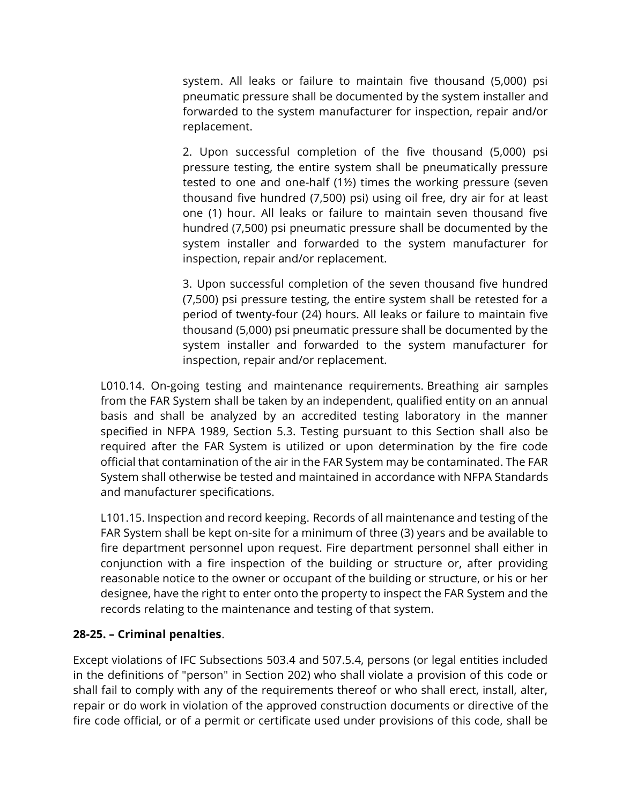system. All leaks or failure to maintain five thousand (5,000) psi pneumatic pressure shall be documented by the system installer and forwarded to the system manufacturer for inspection, repair and/or replacement.

2. Upon successful completion of the five thousand (5,000) psi pressure testing, the entire system shall be pneumatically pressure tested to one and one-half (1½) times the working pressure (seven thousand five hundred (7,500) psi) using oil free, dry air for at least one (1) hour. All leaks or failure to maintain seven thousand five hundred (7,500) psi pneumatic pressure shall be documented by the system installer and forwarded to the system manufacturer for inspection, repair and/or replacement.

3. Upon successful completion of the seven thousand five hundred (7,500) psi pressure testing, the entire system shall be retested for a period of twenty-four (24) hours. All leaks or failure to maintain five thousand (5,000) psi pneumatic pressure shall be documented by the system installer and forwarded to the system manufacturer for inspection, repair and/or replacement.

L010.14. On-going testing and maintenance requirements. Breathing air samples from the FAR System shall be taken by an independent, qualified entity on an annual basis and shall be analyzed by an accredited testing laboratory in the manner specified in NFPA 1989, Section 5.3. Testing pursuant to this Section shall also be required after the FAR System is utilized or upon determination by the fire code official that contamination of the air in the FAR System may be contaminated. The FAR System shall otherwise be tested and maintained in accordance with NFPA Standards and manufacturer specifications.

L101.15. Inspection and record keeping. Records of all maintenance and testing of the FAR System shall be kept on-site for a minimum of three (3) years and be available to fire department personnel upon request. Fire department personnel shall either in conjunction with a fire inspection of the building or structure or, after providing reasonable notice to the owner or occupant of the building or structure, or his or her designee, have the right to enter onto the property to inspect the FAR System and the records relating to the maintenance and testing of that system.

## **28-25. – Criminal penalties**.

Except violations of IFC Subsections 503.4 and 507.5.4, persons (or legal entities included in the definitions of "person" in Section 202) who shall violate a provision of this code or shall fail to comply with any of the requirements thereof or who shall erect, install, alter, repair or do work in violation of the approved construction documents or directive of the fire code official, or of a permit or certificate used under provisions of this code, shall be